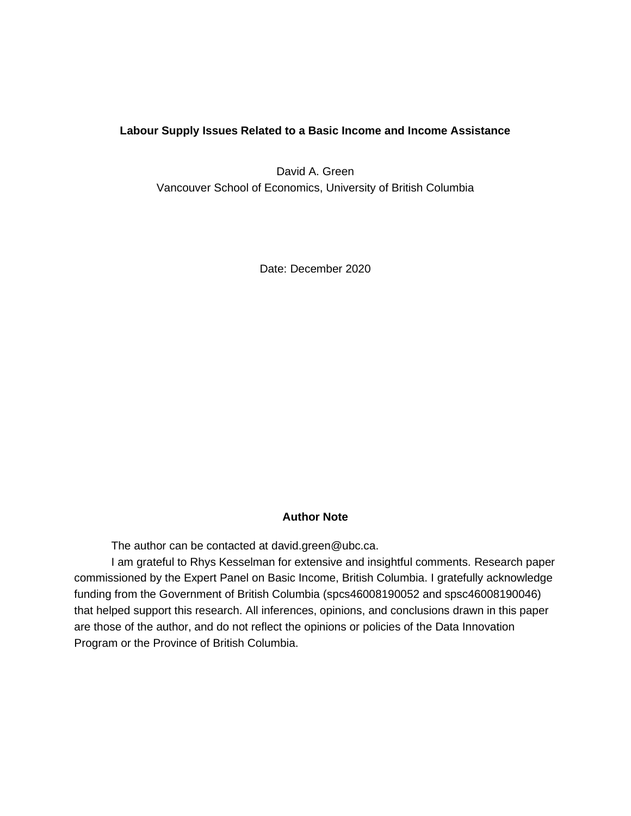# **Labour Supply Issues Related to a Basic Income and Income Assistance**

David A. Green Vancouver School of Economics, University of British Columbia

Date: December 2020

# **Author Note**

The author can be contacted at [david.green@ubc.ca.](mailto:david.green@ubc.ca)

I am grateful to Rhys Kesselman for extensive and insightful comments. Research paper commissioned by the Expert Panel on Basic Income, British Columbia. I gratefully acknowledge funding from the Government of British Columbia (spcs46008190052 and spsc46008190046) that helped support this research. All inferences, opinions, and conclusions drawn in this paper are those of the author, and do not reflect the opinions or policies of the Data Innovation Program or the Province of British Columbia.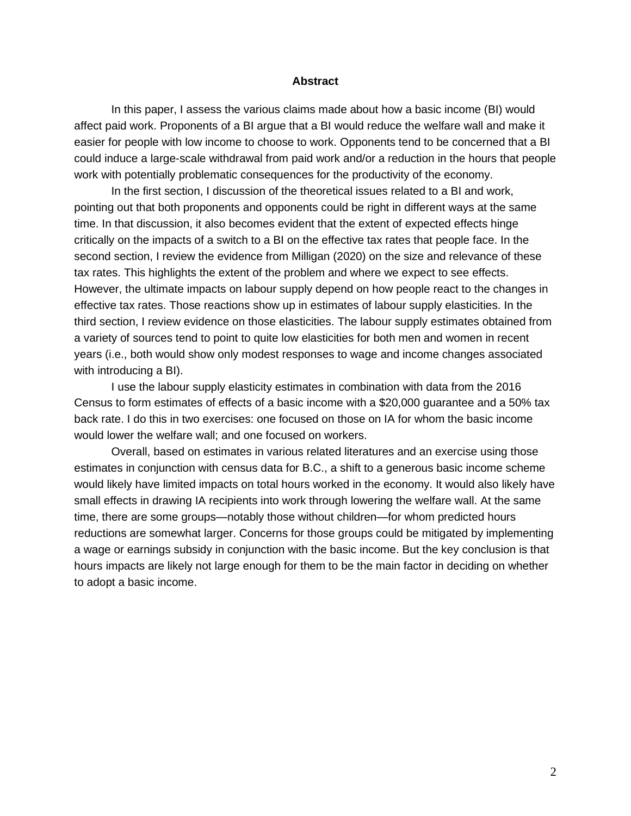### **Abstract**

In this paper, I assess the various claims made about how a basic income (BI) would affect paid work. Proponents of a BI argue that a BI would reduce the welfare wall and make it easier for people with low income to choose to work. Opponents tend to be concerned that a BI could induce a large-scale withdrawal from paid work and/or a reduction in the hours that people work with potentially problematic consequences for the productivity of the economy.

In the first section, I discussion of the theoretical issues related to a BI and work, pointing out that both proponents and opponents could be right in different ways at the same time. In that discussion, it also becomes evident that the extent of expected effects hinge critically on the impacts of a switch to a BI on the effective tax rates that people face. In the second section, I review the evidence from Milligan (2020) on the size and relevance of these tax rates. This highlights the extent of the problem and where we expect to see effects. However, the ultimate impacts on labour supply depend on how people react to the changes in effective tax rates. Those reactions show up in estimates of labour supply elasticities. In the third section, I review evidence on those elasticities. The labour supply estimates obtained from a variety of sources tend to point to quite low elasticities for both men and women in recent years (i.e., both would show only modest responses to wage and income changes associated with introducing a BI).

I use the labour supply elasticity estimates in combination with data from the 2016 Census to form estimates of effects of a basic income with a \$20,000 guarantee and a 50% tax back rate. I do this in two exercises: one focused on those on IA for whom the basic income would lower the welfare wall; and one focused on workers.

Overall, based on estimates in various related literatures and an exercise using those estimates in conjunction with census data for B.C., a shift to a generous basic income scheme would likely have limited impacts on total hours worked in the economy. It would also likely have small effects in drawing IA recipients into work through lowering the welfare wall. At the same time, there are some groups—notably those without children—for whom predicted hours reductions are somewhat larger. Concerns for those groups could be mitigated by implementing a wage or earnings subsidy in conjunction with the basic income. But the key conclusion is that hours impacts are likely not large enough for them to be the main factor in deciding on whether to adopt a basic income.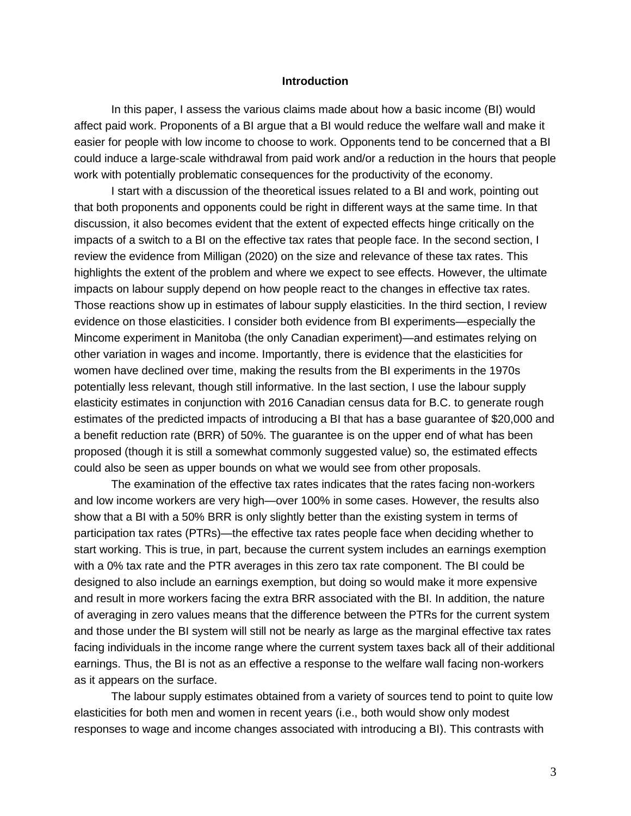### **Introduction**

In this paper, I assess the various claims made about how a basic income (BI) would affect paid work. Proponents of a BI argue that a BI would reduce the welfare wall and make it easier for people with low income to choose to work. Opponents tend to be concerned that a BI could induce a large-scale withdrawal from paid work and/or a reduction in the hours that people work with potentially problematic consequences for the productivity of the economy.

I start with a discussion of the theoretical issues related to a BI and work, pointing out that both proponents and opponents could be right in different ways at the same time. In that discussion, it also becomes evident that the extent of expected effects hinge critically on the impacts of a switch to a BI on the effective tax rates that people face. In the second section, I review the evidence from Milligan (2020) on the size and relevance of these tax rates. This highlights the extent of the problem and where we expect to see effects. However, the ultimate impacts on labour supply depend on how people react to the changes in effective tax rates. Those reactions show up in estimates of labour supply elasticities. In the third section, I review evidence on those elasticities. I consider both evidence from BI experiments—especially the Mincome experiment in Manitoba (the only Canadian experiment)—and estimates relying on other variation in wages and income. Importantly, there is evidence that the elasticities for women have declined over time, making the results from the BI experiments in the 1970s potentially less relevant, though still informative. In the last section, I use the labour supply elasticity estimates in conjunction with 2016 Canadian census data for B.C. to generate rough estimates of the predicted impacts of introducing a BI that has a base guarantee of \$20,000 and a benefit reduction rate (BRR) of 50%. The guarantee is on the upper end of what has been proposed (though it is still a somewhat commonly suggested value) so, the estimated effects could also be seen as upper bounds on what we would see from other proposals.

The examination of the effective tax rates indicates that the rates facing non-workers and low income workers are very high—over 100% in some cases. However, the results also show that a BI with a 50% BRR is only slightly better than the existing system in terms of participation tax rates (PTRs)—the effective tax rates people face when deciding whether to start working. This is true, in part, because the current system includes an earnings exemption with a 0% tax rate and the PTR averages in this zero tax rate component. The BI could be designed to also include an earnings exemption, but doing so would make it more expensive and result in more workers facing the extra BRR associated with the BI. In addition, the nature of averaging in zero values means that the difference between the PTRs for the current system and those under the BI system will still not be nearly as large as the marginal effective tax rates facing individuals in the income range where the current system taxes back all of their additional earnings. Thus, the BI is not as an effective a response to the welfare wall facing non-workers as it appears on the surface.

The labour supply estimates obtained from a variety of sources tend to point to quite low elasticities for both men and women in recent years (i.e., both would show only modest responses to wage and income changes associated with introducing a BI). This contrasts with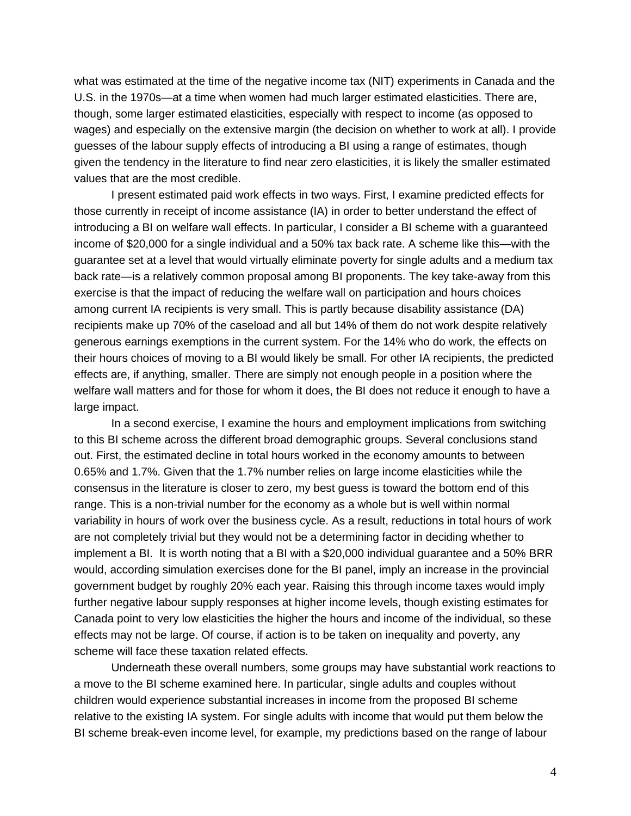what was estimated at the time of the negative income tax (NIT) experiments in Canada and the U.S. in the 1970s—at a time when women had much larger estimated elasticities. There are, though, some larger estimated elasticities, especially with respect to income (as opposed to wages) and especially on the extensive margin (the decision on whether to work at all). I provide guesses of the labour supply effects of introducing a BI using a range of estimates, though given the tendency in the literature to find near zero elasticities, it is likely the smaller estimated values that are the most credible.

I present estimated paid work effects in two ways. First, I examine predicted effects for those currently in receipt of income assistance (IA) in order to better understand the effect of introducing a BI on welfare wall effects. In particular, I consider a BI scheme with a guaranteed income of \$20,000 for a single individual and a 50% tax back rate. A scheme like this—with the guarantee set at a level that would virtually eliminate poverty for single adults and a medium tax back rate—is a relatively common proposal among BI proponents. The key take-away from this exercise is that the impact of reducing the welfare wall on participation and hours choices among current IA recipients is very small. This is partly because disability assistance (DA) recipients make up 70% of the caseload and all but 14% of them do not work despite relatively generous earnings exemptions in the current system. For the 14% who do work, the effects on their hours choices of moving to a BI would likely be small. For other IA recipients, the predicted effects are, if anything, smaller. There are simply not enough people in a position where the welfare wall matters and for those for whom it does, the BI does not reduce it enough to have a large impact.

In a second exercise, I examine the hours and employment implications from switching to this BI scheme across the different broad demographic groups. Several conclusions stand out. First, the estimated decline in total hours worked in the economy amounts to between 0.65% and 1.7%. Given that the 1.7% number relies on large income elasticities while the consensus in the literature is closer to zero, my best guess is toward the bottom end of this range. This is a non-trivial number for the economy as a whole but is well within normal variability in hours of work over the business cycle. As a result, reductions in total hours of work are not completely trivial but they would not be a determining factor in deciding whether to implement a BI. It is worth noting that a BI with a \$20,000 individual guarantee and a 50% BRR would, according simulation exercises done for the BI panel, imply an increase in the provincial government budget by roughly 20% each year. Raising this through income taxes would imply further negative labour supply responses at higher income levels, though existing estimates for Canada point to very low elasticities the higher the hours and income of the individual, so these effects may not be large. Of course, if action is to be taken on inequality and poverty, any scheme will face these taxation related effects.

Underneath these overall numbers, some groups may have substantial work reactions to a move to the BI scheme examined here. In particular, single adults and couples without children would experience substantial increases in income from the proposed BI scheme relative to the existing IA system. For single adults with income that would put them below the BI scheme break-even income level, for example, my predictions based on the range of labour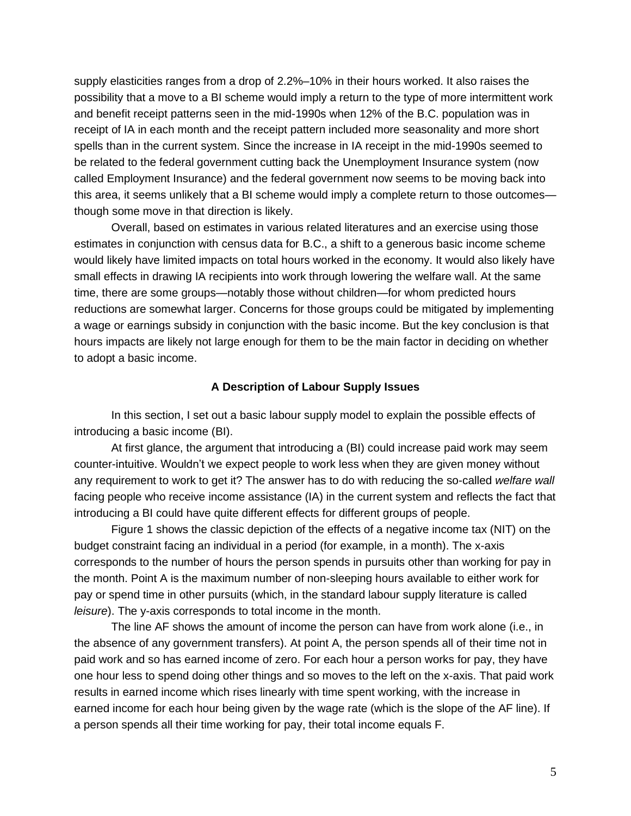supply elasticities ranges from a drop of 2.2%–10% in their hours worked. It also raises the possibility that a move to a BI scheme would imply a return to the type of more intermittent work and benefit receipt patterns seen in the mid-1990s when 12% of the B.C. population was in receipt of IA in each month and the receipt pattern included more seasonality and more short spells than in the current system. Since the increase in IA receipt in the mid-1990s seemed to be related to the federal government cutting back the Unemployment Insurance system (now called Employment Insurance) and the federal government now seems to be moving back into this area, it seems unlikely that a BI scheme would imply a complete return to those outcomes though some move in that direction is likely.

Overall, based on estimates in various related literatures and an exercise using those estimates in conjunction with census data for B.C., a shift to a generous basic income scheme would likely have limited impacts on total hours worked in the economy. It would also likely have small effects in drawing IA recipients into work through lowering the welfare wall. At the same time, there are some groups—notably those without children—for whom predicted hours reductions are somewhat larger. Concerns for those groups could be mitigated by implementing a wage or earnings subsidy in conjunction with the basic income. But the key conclusion is that hours impacts are likely not large enough for them to be the main factor in deciding on whether to adopt a basic income.

## **A Description of Labour Supply Issues**

In this section, I set out a basic labour supply model to explain the possible effects of introducing a basic income (BI).

At first glance, the argument that introducing a (BI) could increase paid work may seem counter-intuitive. Wouldn't we expect people to work less when they are given money without any requirement to work to get it? The answer has to do with reducing the so-called *welfare wall* facing people who receive income assistance (IA) in the current system and reflects the fact that introducing a BI could have quite different effects for different groups of people.

Figure 1 shows the classic depiction of the effects of a negative income tax (NIT) on the budget constraint facing an individual in a period (for example, in a month). The x-axis corresponds to the number of hours the person spends in pursuits other than working for pay in the month. Point A is the maximum number of non-sleeping hours available to either work for pay or spend time in other pursuits (which, in the standard labour supply literature is called *leisure*). The y-axis corresponds to total income in the month.

The line AF shows the amount of income the person can have from work alone (i.e., in the absence of any government transfers). At point A, the person spends all of their time not in paid work and so has earned income of zero. For each hour a person works for pay, they have one hour less to spend doing other things and so moves to the left on the x-axis. That paid work results in earned income which rises linearly with time spent working, with the increase in earned income for each hour being given by the wage rate (which is the slope of the AF line). If a person spends all their time working for pay, their total income equals F.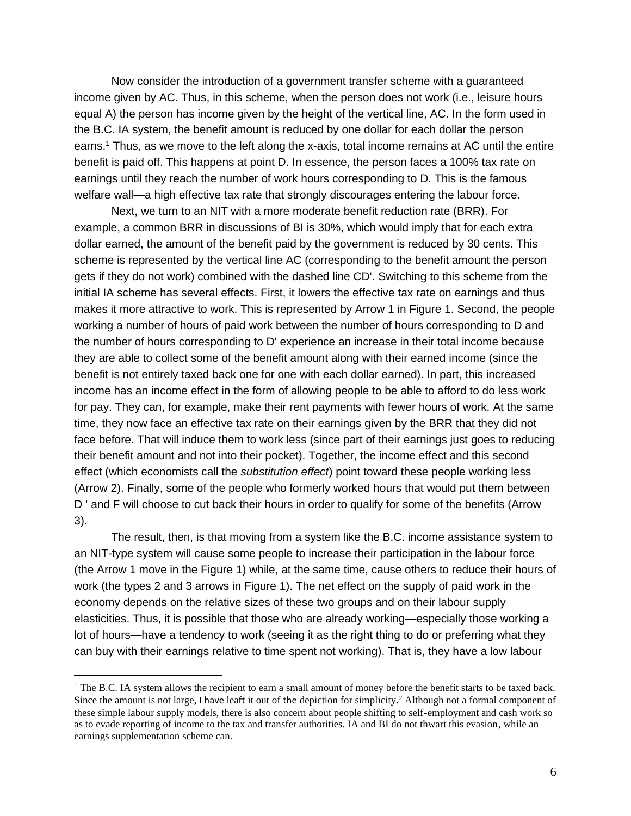Now consider the introduction of a government transfer scheme with a guaranteed income given by AC. Thus, in this scheme, when the person does not work (i.e., leisure hours equal A) the person has income given by the height of the vertical line, AC. In the form used in the B.C. IA system, the benefit amount is reduced by one dollar for each dollar the person earns.<sup>1</sup> Thus, as we move to the left along the x-axis, total income remains at AC until the entire benefit is paid off. This happens at point D. In essence, the person faces a 100% tax rate on earnings until they reach the number of work hours corresponding to D. This is the famous welfare wall—a high effective tax rate that strongly discourages entering the labour force.

Next, we turn to an NIT with a more moderate benefit reduction rate (BRR). For example, a common BRR in discussions of BI is 30%, which would imply that for each extra dollar earned, the amount of the benefit paid by the government is reduced by 30 cents. This scheme is represented by the vertical line AC (corresponding to the benefit amount the person gets if they do not work) combined with the dashed line CD'. Switching to this scheme from the initial IA scheme has several effects. First, it lowers the effective tax rate on earnings and thus makes it more attractive to work. This is represented by Arrow 1 in Figure 1. Second, the people working a number of hours of paid work between the number of hours corresponding to D and the number of hours corresponding to D' experience an increase in their total income because they are able to collect some of the benefit amount along with their earned income (since the benefit is not entirely taxed back one for one with each dollar earned). In part, this increased income has an income effect in the form of allowing people to be able to afford to do less work for pay. They can, for example, make their rent payments with fewer hours of work. At the same time, they now face an effective tax rate on their earnings given by the BRR that they did not face before. That will induce them to work less (since part of their earnings just goes to reducing their benefit amount and not into their pocket). Together, the income effect and this second effect (which economists call the *substitution effect*) point toward these people working less (Arrow 2). Finally, some of the people who formerly worked hours that would put them between D ' and F will choose to cut back their hours in order to qualify for some of the benefits (Arrow 3).

The result, then, is that moving from a system like the B.C. income assistance system to an NIT-type system will cause some people to increase their participation in the labour force (the Arrow 1 move in the Figure 1) while, at the same time, cause others to reduce their hours of work (the types 2 and 3 arrows in Figure 1). The net effect on the supply of paid work in the economy depends on the relative sizes of these two groups and on their labour supply elasticities. Thus, it is possible that those who are already working—especially those working a lot of hours—have a tendency to work (seeing it as the right thing to do or preferring what they can buy with their earnings relative to time spent not working). That is, they have a low labour

 $1$  The B.C. IA system allows the recipient to earn a small amount of money before the benefit starts to be taxed back. Since the amount is not large, I have leaft it out of the depiction for simplicity.<sup>2</sup> Although not a formal component of these simple labour supply models, there is also concern about people shifting to self-employment and cash work so as to evade reporting of income to the tax and transfer authorities. IA and BI do not thwart this evasion, while an earnings supplementation scheme can.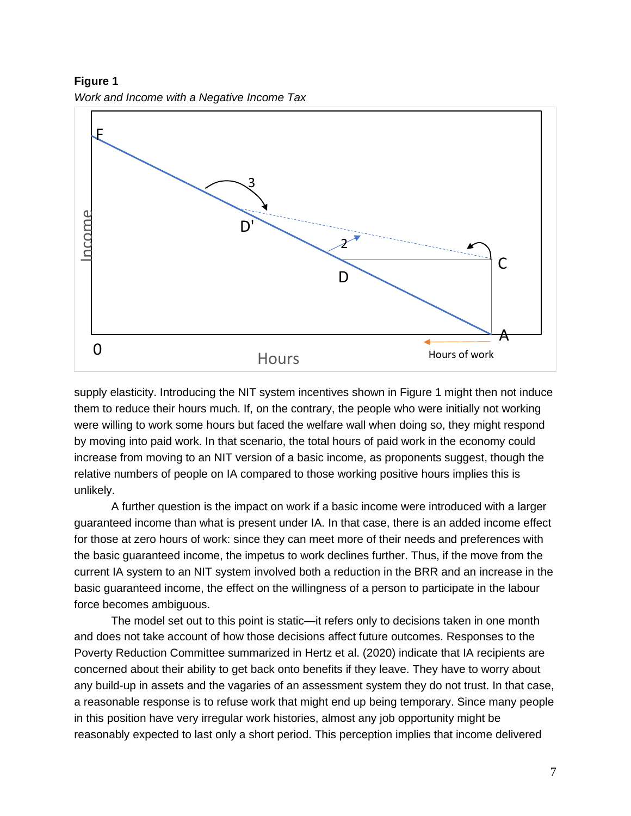**Figure 1**



supply elasticity. Introducing the NIT system incentives shown in Figure 1 might then not induce them to reduce their hours much. If, on the contrary, the people who were initially not working were willing to work some hours but faced the welfare wall when doing so, they might respond by moving into paid work. In that scenario, the total hours of paid work in the economy could increase from moving to an NIT version of a basic income, as proponents suggest, though the relative numbers of people on IA compared to those working positive hours implies this is unlikely.

A further question is the impact on work if a basic income were introduced with a larger guaranteed income than what is present under IA. In that case, there is an added income effect for those at zero hours of work: since they can meet more of their needs and preferences with the basic guaranteed income, the impetus to work declines further. Thus, if the move from the current IA system to an NIT system involved both a reduction in the BRR and an increase in the basic guaranteed income, the effect on the willingness of a person to participate in the labour force becomes ambiguous.

The model set out to this point is static—it refers only to decisions taken in one month and does not take account of how those decisions affect future outcomes. Responses to the Poverty Reduction Committee summarized in Hertz et al. (2020) indicate that IA recipients are concerned about their ability to get back onto benefits if they leave. They have to worry about any build-up in assets and the vagaries of an assessment system they do not trust. In that case, a reasonable response is to refuse work that might end up being temporary. Since many people in this position have very irregular work histories, almost any job opportunity might be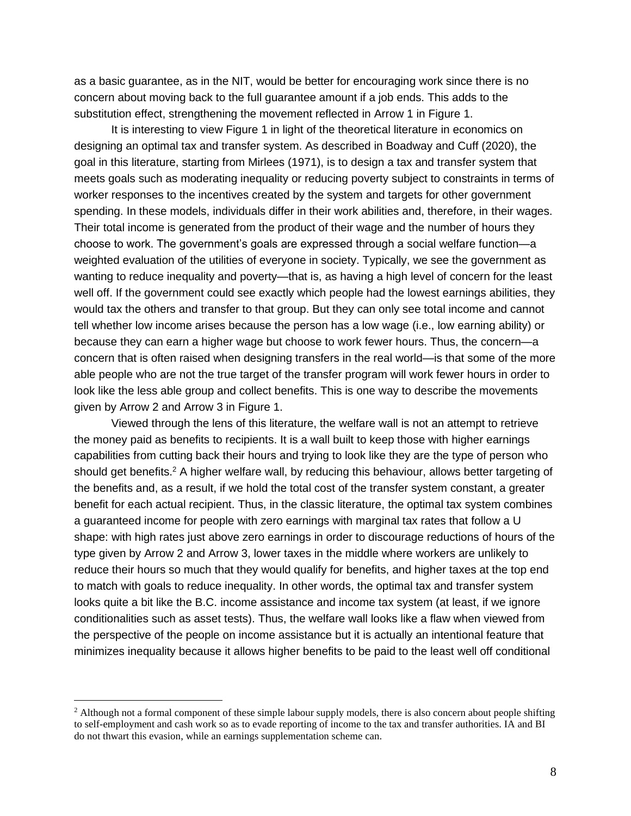as a basic guarantee, as in the NIT, would be better for encouraging work since there is no concern about moving back to the full guarantee amount if a job ends. This adds to the substitution effect, strengthening the movement reflected in Arrow 1 in Figure 1.

It is interesting to view Figure 1 in light of the theoretical literature in economics on designing an optimal tax and transfer system. As described in Boadway and Cuff (2020), the goal in this literature, starting from Mirlees (1971), is to design a tax and transfer system that meets goals such as moderating inequality or reducing poverty subject to constraints in terms of worker responses to the incentives created by the system and targets for other government spending. In these models, individuals differ in their work abilities and, therefore, in their wages. Their total income is generated from the product of their wage and the number of hours they choose to work. The government's goals are expressed through a social welfare function—a weighted evaluation of the utilities of everyone in society. Typically, we see the government as wanting to reduce inequality and poverty—that is, as having a high level of concern for the least well off. If the government could see exactly which people had the lowest earnings abilities, they would tax the others and transfer to that group. But they can only see total income and cannot tell whether low income arises because the person has a low wage (i.e., low earning ability) or because they can earn a higher wage but choose to work fewer hours. Thus, the concern—a concern that is often raised when designing transfers in the real world—is that some of the more able people who are not the true target of the transfer program will work fewer hours in order to look like the less able group and collect benefits. This is one way to describe the movements given by Arrow 2 and Arrow 3 in Figure 1.

Viewed through the lens of this literature, the welfare wall is not an attempt to retrieve the money paid as benefits to recipients. It is a wall built to keep those with higher earnings capabilities from cutting back their hours and trying to look like they are the type of person who should get benefits.<sup>2</sup> A higher welfare wall, by reducing this behaviour, allows better targeting of the benefits and, as a result, if we hold the total cost of the transfer system constant, a greater benefit for each actual recipient. Thus, in the classic literature, the optimal tax system combines a guaranteed income for people with zero earnings with marginal tax rates that follow a U shape: with high rates just above zero earnings in order to discourage reductions of hours of the type given by Arrow 2 and Arrow 3, lower taxes in the middle where workers are unlikely to reduce their hours so much that they would qualify for benefits, and higher taxes at the top end to match with goals to reduce inequality. In other words, the optimal tax and transfer system looks quite a bit like the B.C. income assistance and income tax system (at least, if we ignore conditionalities such as asset tests). Thus, the welfare wall looks like a flaw when viewed from the perspective of the people on income assistance but it is actually an intentional feature that minimizes inequality because it allows higher benefits to be paid to the least well off conditional

<sup>&</sup>lt;sup>2</sup> Although not a formal component of these simple labour supply models, there is also concern about people shifting to self-employment and cash work so as to evade reporting of income to the tax and transfer authorities. IA and BI do not thwart this evasion, while an earnings supplementation scheme can.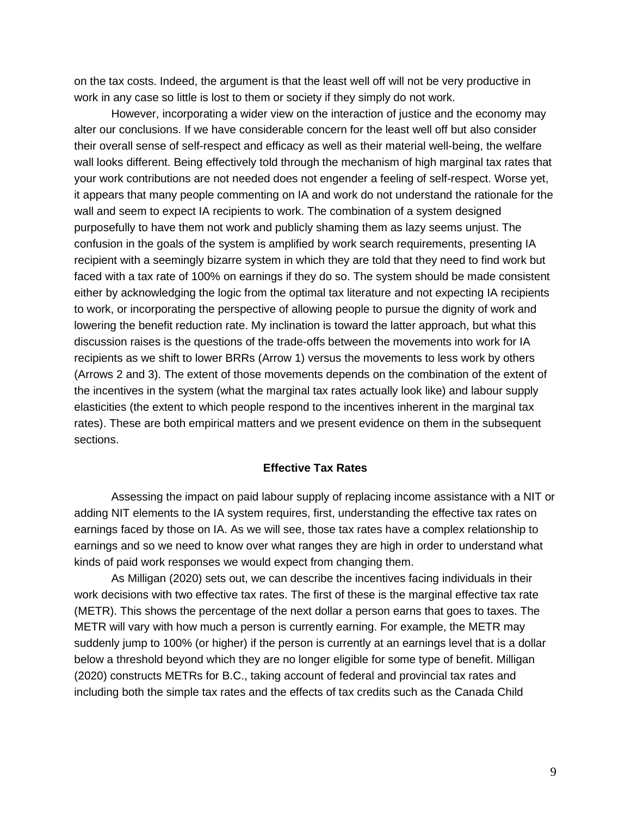on the tax costs. Indeed, the argument is that the least well off will not be very productive in work in any case so little is lost to them or society if they simply do not work.

However, incorporating a wider view on the interaction of justice and the economy may alter our conclusions. If we have considerable concern for the least well off but also consider their overall sense of self-respect and efficacy as well as their material well-being, the welfare wall looks different. Being effectively told through the mechanism of high marginal tax rates that your work contributions are not needed does not engender a feeling of self-respect. Worse yet, it appears that many people commenting on IA and work do not understand the rationale for the wall and seem to expect IA recipients to work. The combination of a system designed purposefully to have them not work and publicly shaming them as lazy seems unjust. The confusion in the goals of the system is amplified by work search requirements, presenting IA recipient with a seemingly bizarre system in which they are told that they need to find work but faced with a tax rate of 100% on earnings if they do so. The system should be made consistent either by acknowledging the logic from the optimal tax literature and not expecting IA recipients to work, or incorporating the perspective of allowing people to pursue the dignity of work and lowering the benefit reduction rate. My inclination is toward the latter approach, but what this discussion raises is the questions of the trade-offs between the movements into work for IA recipients as we shift to lower BRRs (Arrow 1) versus the movements to less work by others (Arrows 2 and 3). The extent of those movements depends on the combination of the extent of the incentives in the system (what the marginal tax rates actually look like) and labour supply elasticities (the extent to which people respond to the incentives inherent in the marginal tax rates). These are both empirical matters and we present evidence on them in the subsequent sections.

## **Effective Tax Rates**

Assessing the impact on paid labour supply of replacing income assistance with a NIT or adding NIT elements to the IA system requires, first, understanding the effective tax rates on earnings faced by those on IA. As we will see, those tax rates have a complex relationship to earnings and so we need to know over what ranges they are high in order to understand what kinds of paid work responses we would expect from changing them.

As Milligan (2020) sets out, we can describe the incentives facing individuals in their work decisions with two effective tax rates. The first of these is the marginal effective tax rate (METR). This shows the percentage of the next dollar a person earns that goes to taxes. The METR will vary with how much a person is currently earning. For example, the METR may suddenly jump to 100% (or higher) if the person is currently at an earnings level that is a dollar below a threshold beyond which they are no longer eligible for some type of benefit. Milligan (2020) constructs METRs for B.C., taking account of federal and provincial tax rates and including both the simple tax rates and the effects of tax credits such as the Canada Child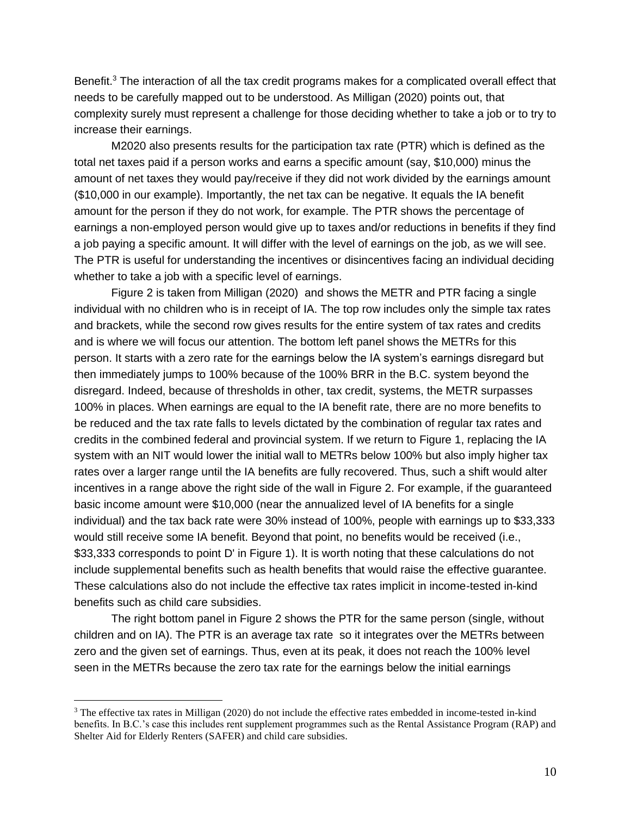Benefit.<sup>3</sup> The interaction of all the tax credit programs makes for a complicated overall effect that needs to be carefully mapped out to be understood. As Milligan (2020) points out, that complexity surely must represent a challenge for those deciding whether to take a job or to try to increase their earnings.

M2020 also presents results for the participation tax rate (PTR) which is defined as the total net taxes paid if a person works and earns a specific amount (say, \$10,000) minus the amount of net taxes they would pay/receive if they did not work divided by the earnings amount (\$10,000 in our example). Importantly, the net tax can be negative. It equals the IA benefit amount for the person if they do not work, for example. The PTR shows the percentage of earnings a non-employed person would give up to taxes and/or reductions in benefits if they find a job paying a specific amount. It will differ with the level of earnings on the job, as we will see. The PTR is useful for understanding the incentives or disincentives facing an individual deciding whether to take a job with a specific level of earnings.

Figure 2 is taken from Milligan (2020) and shows the METR and PTR facing a single individual with no children who is in receipt of IA. The top row includes only the simple tax rates and brackets, while the second row gives results for the entire system of tax rates and credits and is where we will focus our attention. The bottom left panel shows the METRs for this person. It starts with a zero rate for the earnings below the IA system's earnings disregard but then immediately jumps to 100% because of the 100% BRR in the B.C. system beyond the disregard. Indeed, because of thresholds in other, tax credit, systems, the METR surpasses 100% in places. When earnings are equal to the IA benefit rate, there are no more benefits to be reduced and the tax rate falls to levels dictated by the combination of regular tax rates and credits in the combined federal and provincial system. If we return to Figure 1, replacing the IA system with an NIT would lower the initial wall to METRs below 100% but also imply higher tax rates over a larger range until the IA benefits are fully recovered. Thus, such a shift would alter incentives in a range above the right side of the wall in Figure 2. For example, if the guaranteed basic income amount were \$10,000 (near the annualized level of IA benefits for a single individual) and the tax back rate were 30% instead of 100%, people with earnings up to \$33,333 would still receive some IA benefit. Beyond that point, no benefits would be received (i.e., \$33,333 corresponds to point D' in Figure 1). It is worth noting that these calculations do not include supplemental benefits such as health benefits that would raise the effective guarantee. These calculations also do not include the effective tax rates implicit in income-tested in-kind benefits such as child care subsidies.

The right bottom panel in Figure 2 shows the PTR for the same person (single, without children and on IA). The PTR is an average tax rate so it integrates over the METRs between zero and the given set of earnings. Thus, even at its peak, it does not reach the 100% level seen in the METRs because the zero tax rate for the earnings below the initial earnings

<sup>3</sup> The effective tax rates in Milligan (2020) do not include the effective rates embedded in income-tested in-kind benefits. In B.C.'s case this includes rent supplement programmes such as the Rental Assistance Program (RAP) and Shelter Aid for Elderly Renters (SAFER) and child care subsidies.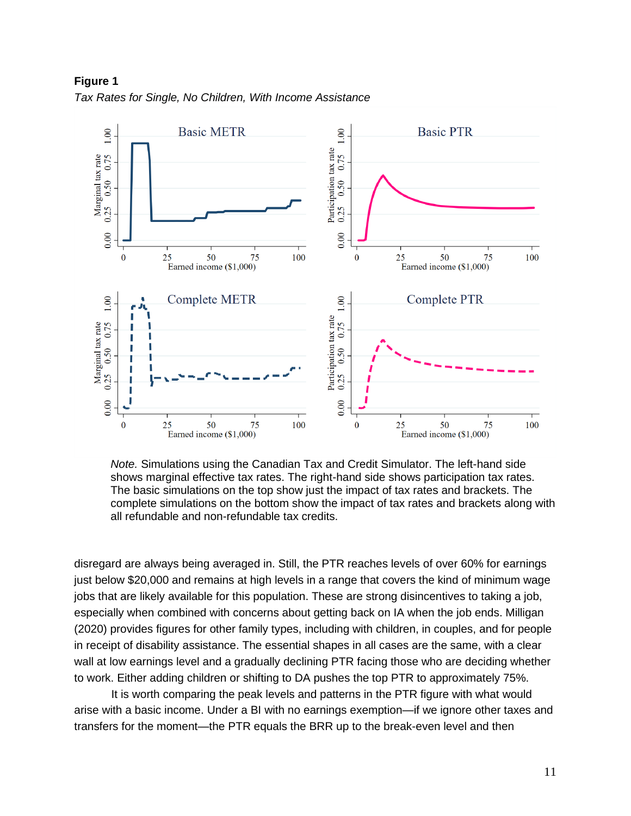

**Figure 1** *Tax Rates for Single, No Children, With Income Assistance*

*Note.* Simulations using the Canadian Tax and Credit Simulator. The left-hand side shows marginal effective tax rates. The right-hand side shows participation tax rates. The basic simulations on the top show just the impact of tax rates and brackets. The complete simulations on the bottom show the impact of tax rates and brackets along with all refundable and non-refundable tax credits.

disregard are always being averaged in. Still, the PTR reaches levels of over 60% for earnings just below \$20,000 and remains at high levels in a range that covers the kind of minimum wage jobs that are likely available for this population. These are strong disincentives to taking a job, especially when combined with concerns about getting back on IA when the job ends. Milligan (2020) provides figures for other family types, including with children, in couples, and for people in receipt of disability assistance. The essential shapes in all cases are the same, with a clear wall at low earnings level and a gradually declining PTR facing those who are deciding whether to work. Either adding children or shifting to DA pushes the top PTR to approximately 75%.

It is worth comparing the peak levels and patterns in the PTR figure with what would arise with a basic income. Under a BI with no earnings exemption—if we ignore other taxes and transfers for the moment—the PTR equals the BRR up to the break-even level and then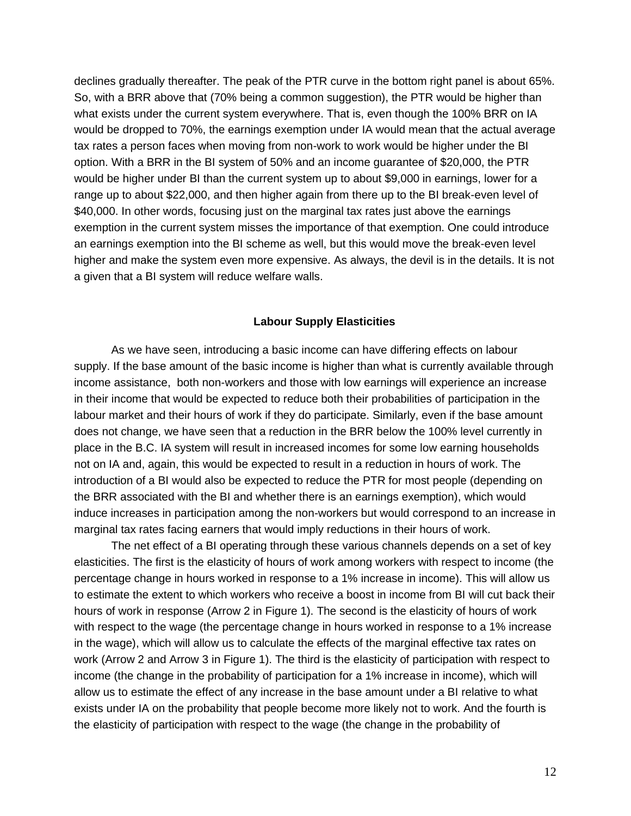declines gradually thereafter. The peak of the PTR curve in the bottom right panel is about 65%. So, with a BRR above that (70% being a common suggestion), the PTR would be higher than what exists under the current system everywhere. That is, even though the 100% BRR on IA would be dropped to 70%, the earnings exemption under IA would mean that the actual average tax rates a person faces when moving from non-work to work would be higher under the BI option. With a BRR in the BI system of 50% and an income guarantee of \$20,000, the PTR would be higher under BI than the current system up to about \$9,000 in earnings, lower for a range up to about \$22,000, and then higher again from there up to the BI break-even level of \$40,000. In other words, focusing just on the marginal tax rates just above the earnings exemption in the current system misses the importance of that exemption. One could introduce an earnings exemption into the BI scheme as well, but this would move the break-even level higher and make the system even more expensive. As always, the devil is in the details. It is not a given that a BI system will reduce welfare walls.

## **Labour Supply Elasticities**

As we have seen, introducing a basic income can have differing effects on labour supply. If the base amount of the basic income is higher than what is currently available through income assistance, both non-workers and those with low earnings will experience an increase in their income that would be expected to reduce both their probabilities of participation in the labour market and their hours of work if they do participate. Similarly, even if the base amount does not change, we have seen that a reduction in the BRR below the 100% level currently in place in the B.C. IA system will result in increased incomes for some low earning households not on IA and, again, this would be expected to result in a reduction in hours of work. The introduction of a BI would also be expected to reduce the PTR for most people (depending on the BRR associated with the BI and whether there is an earnings exemption), which would induce increases in participation among the non-workers but would correspond to an increase in marginal tax rates facing earners that would imply reductions in their hours of work.

The net effect of a BI operating through these various channels depends on a set of key elasticities. The first is the elasticity of hours of work among workers with respect to income (the percentage change in hours worked in response to a 1% increase in income). This will allow us to estimate the extent to which workers who receive a boost in income from BI will cut back their hours of work in response (Arrow 2 in Figure 1). The second is the elasticity of hours of work with respect to the wage (the percentage change in hours worked in response to a 1% increase in the wage), which will allow us to calculate the effects of the marginal effective tax rates on work (Arrow 2 and Arrow 3 in Figure 1). The third is the elasticity of participation with respect to income (the change in the probability of participation for a 1% increase in income), which will allow us to estimate the effect of any increase in the base amount under a BI relative to what exists under IA on the probability that people become more likely not to work. And the fourth is the elasticity of participation with respect to the wage (the change in the probability of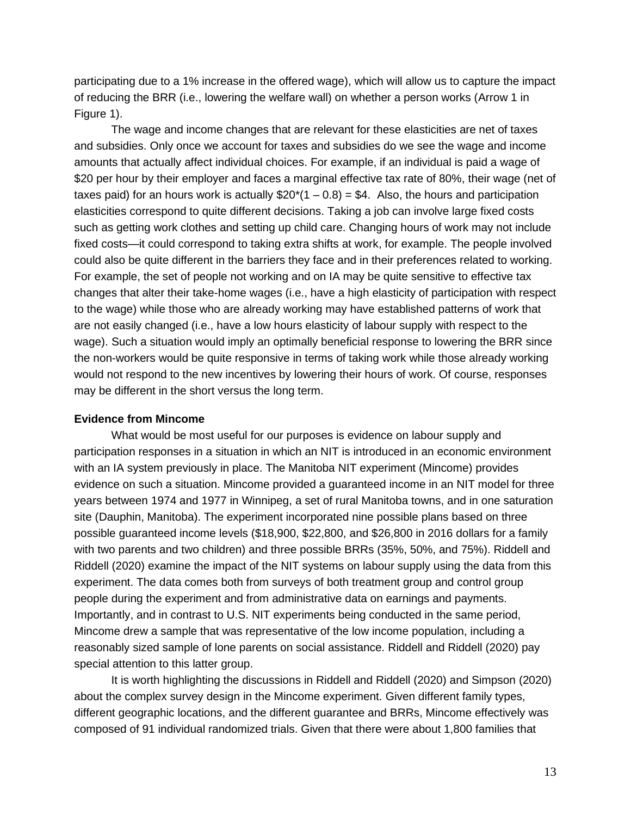participating due to a 1% increase in the offered wage), which will allow us to capture the impact of reducing the BRR (i.e., lowering the welfare wall) on whether a person works (Arrow 1 in Figure 1).

The wage and income changes that are relevant for these elasticities are net of taxes and subsidies. Only once we account for taxes and subsidies do we see the wage and income amounts that actually affect individual choices. For example, if an individual is paid a wage of \$20 per hour by their employer and faces a marginal effective tax rate of 80%, their wage (net of taxes paid) for an hours work is actually  $$20*(1 - 0.8) = $4$ . Also, the hours and participation elasticities correspond to quite different decisions. Taking a job can involve large fixed costs such as getting work clothes and setting up child care. Changing hours of work may not include fixed costs—it could correspond to taking extra shifts at work, for example. The people involved could also be quite different in the barriers they face and in their preferences related to working. For example, the set of people not working and on IA may be quite sensitive to effective tax changes that alter their take-home wages (i.e., have a high elasticity of participation with respect to the wage) while those who are already working may have established patterns of work that are not easily changed (i.e., have a low hours elasticity of labour supply with respect to the wage). Such a situation would imply an optimally beneficial response to lowering the BRR since the non-workers would be quite responsive in terms of taking work while those already working would not respond to the new incentives by lowering their hours of work. Of course, responses may be different in the short versus the long term.

# **Evidence from Mincome**

What would be most useful for our purposes is evidence on labour supply and participation responses in a situation in which an NIT is introduced in an economic environment with an IA system previously in place. The Manitoba NIT experiment (Mincome) provides evidence on such a situation. Mincome provided a guaranteed income in an NIT model for three years between 1974 and 1977 in Winnipeg, a set of rural Manitoba towns, and in one saturation site (Dauphin, Manitoba). The experiment incorporated nine possible plans based on three possible guaranteed income levels (\$18,900, \$22,800, and \$26,800 in 2016 dollars for a family with two parents and two children) and three possible BRRs (35%, 50%, and 75%). Riddell and Riddell (2020) examine the impact of the NIT systems on labour supply using the data from this experiment. The data comes both from surveys of both treatment group and control group people during the experiment and from administrative data on earnings and payments. Importantly, and in contrast to U.S. NIT experiments being conducted in the same period, Mincome drew a sample that was representative of the low income population, including a reasonably sized sample of lone parents on social assistance. Riddell and Riddell (2020) pay special attention to this latter group.

It is worth highlighting the discussions in Riddell and Riddell (2020) and Simpson (2020) about the complex survey design in the Mincome experiment. Given different family types, different geographic locations, and the different guarantee and BRRs, Mincome effectively was composed of 91 individual randomized trials. Given that there were about 1,800 families that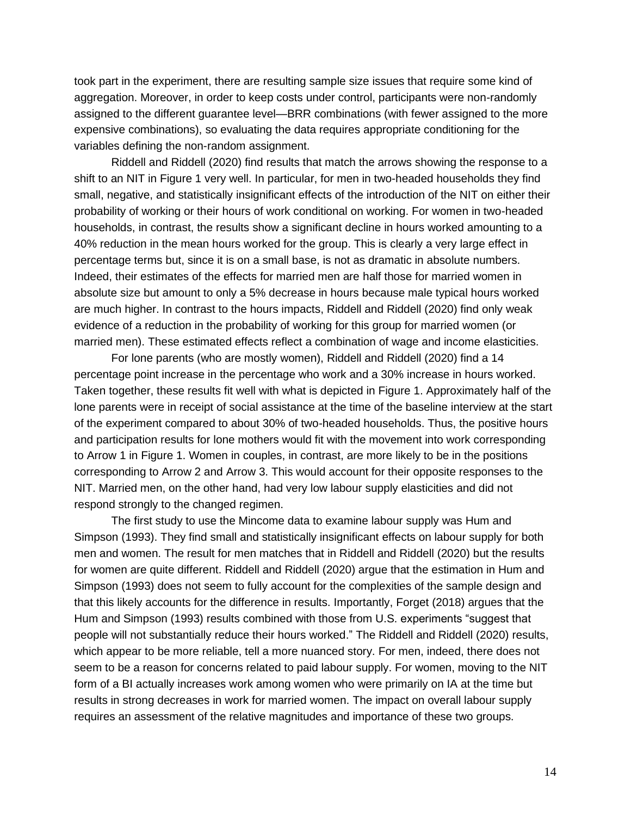took part in the experiment, there are resulting sample size issues that require some kind of aggregation. Moreover, in order to keep costs under control, participants were non-randomly assigned to the different guarantee level—BRR combinations (with fewer assigned to the more expensive combinations), so evaluating the data requires appropriate conditioning for the variables defining the non-random assignment.

Riddell and Riddell (2020) find results that match the arrows showing the response to a shift to an NIT in Figure 1 very well. In particular, for men in two-headed households they find small, negative, and statistically insignificant effects of the introduction of the NIT on either their probability of working or their hours of work conditional on working. For women in two-headed households, in contrast, the results show a significant decline in hours worked amounting to a 40% reduction in the mean hours worked for the group. This is clearly a very large effect in percentage terms but, since it is on a small base, is not as dramatic in absolute numbers. Indeed, their estimates of the effects for married men are half those for married women in absolute size but amount to only a 5% decrease in hours because male typical hours worked are much higher. In contrast to the hours impacts, Riddell and Riddell (2020) find only weak evidence of a reduction in the probability of working for this group for married women (or married men). These estimated effects reflect a combination of wage and income elasticities.

For lone parents (who are mostly women), Riddell and Riddell (2020) find a 14 percentage point increase in the percentage who work and a 30% increase in hours worked. Taken together, these results fit well with what is depicted in Figure 1. Approximately half of the lone parents were in receipt of social assistance at the time of the baseline interview at the start of the experiment compared to about 30% of two-headed households. Thus, the positive hours and participation results for lone mothers would fit with the movement into work corresponding to Arrow 1 in Figure 1. Women in couples, in contrast, are more likely to be in the positions corresponding to Arrow 2 and Arrow 3. This would account for their opposite responses to the NIT. Married men, on the other hand, had very low labour supply elasticities and did not respond strongly to the changed regimen.

The first study to use the Mincome data to examine labour supply was Hum and Simpson (1993). They find small and statistically insignificant effects on labour supply for both men and women. The result for men matches that in Riddell and Riddell (2020) but the results for women are quite different. Riddell and Riddell (2020) argue that the estimation in Hum and Simpson (1993) does not seem to fully account for the complexities of the sample design and that this likely accounts for the difference in results. Importantly, Forget (2018) argues that the Hum and Simpson (1993) results combined with those from U.S. experiments "suggest that people will not substantially reduce their hours worked." The Riddell and Riddell (2020) results, which appear to be more reliable, tell a more nuanced story. For men, indeed, there does not seem to be a reason for concerns related to paid labour supply. For women, moving to the NIT form of a BI actually increases work among women who were primarily on IA at the time but results in strong decreases in work for married women. The impact on overall labour supply requires an assessment of the relative magnitudes and importance of these two groups.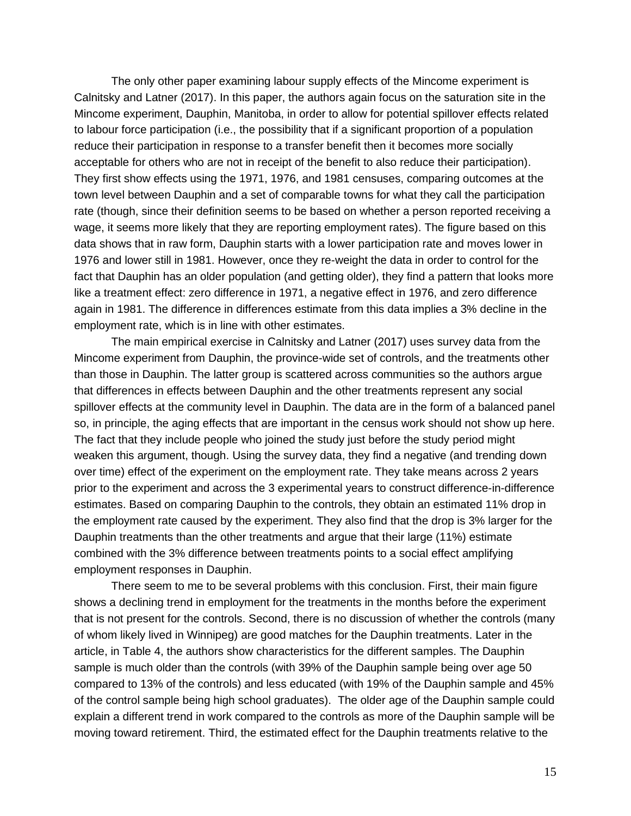The only other paper examining labour supply effects of the Mincome experiment is Calnitsky and Latner (2017). In this paper, the authors again focus on the saturation site in the Mincome experiment, Dauphin, Manitoba, in order to allow for potential spillover effects related to labour force participation (i.e., the possibility that if a significant proportion of a population reduce their participation in response to a transfer benefit then it becomes more socially acceptable for others who are not in receipt of the benefit to also reduce their participation). They first show effects using the 1971, 1976, and 1981 censuses, comparing outcomes at the town level between Dauphin and a set of comparable towns for what they call the participation rate (though, since their definition seems to be based on whether a person reported receiving a wage, it seems more likely that they are reporting employment rates). The figure based on this data shows that in raw form, Dauphin starts with a lower participation rate and moves lower in 1976 and lower still in 1981. However, once they re-weight the data in order to control for the fact that Dauphin has an older population (and getting older), they find a pattern that looks more like a treatment effect: zero difference in 1971, a negative effect in 1976, and zero difference again in 1981. The difference in differences estimate from this data implies a 3% decline in the employment rate, which is in line with other estimates.

The main empirical exercise in Calnitsky and Latner (2017) uses survey data from the Mincome experiment from Dauphin, the province-wide set of controls, and the treatments other than those in Dauphin. The latter group is scattered across communities so the authors argue that differences in effects between Dauphin and the other treatments represent any social spillover effects at the community level in Dauphin. The data are in the form of a balanced panel so, in principle, the aging effects that are important in the census work should not show up here. The fact that they include people who joined the study just before the study period might weaken this argument, though. Using the survey data, they find a negative (and trending down over time) effect of the experiment on the employment rate. They take means across 2 years prior to the experiment and across the 3 experimental years to construct difference-in-difference estimates. Based on comparing Dauphin to the controls, they obtain an estimated 11% drop in the employment rate caused by the experiment. They also find that the drop is 3% larger for the Dauphin treatments than the other treatments and argue that their large (11%) estimate combined with the 3% difference between treatments points to a social effect amplifying employment responses in Dauphin.

There seem to me to be several problems with this conclusion. First, their main figure shows a declining trend in employment for the treatments in the months before the experiment that is not present for the controls. Second, there is no discussion of whether the controls (many of whom likely lived in Winnipeg) are good matches for the Dauphin treatments. Later in the article, in Table 4, the authors show characteristics for the different samples. The Dauphin sample is much older than the controls (with 39% of the Dauphin sample being over age 50 compared to 13% of the controls) and less educated (with 19% of the Dauphin sample and 45% of the control sample being high school graduates). The older age of the Dauphin sample could explain a different trend in work compared to the controls as more of the Dauphin sample will be moving toward retirement. Third, the estimated effect for the Dauphin treatments relative to the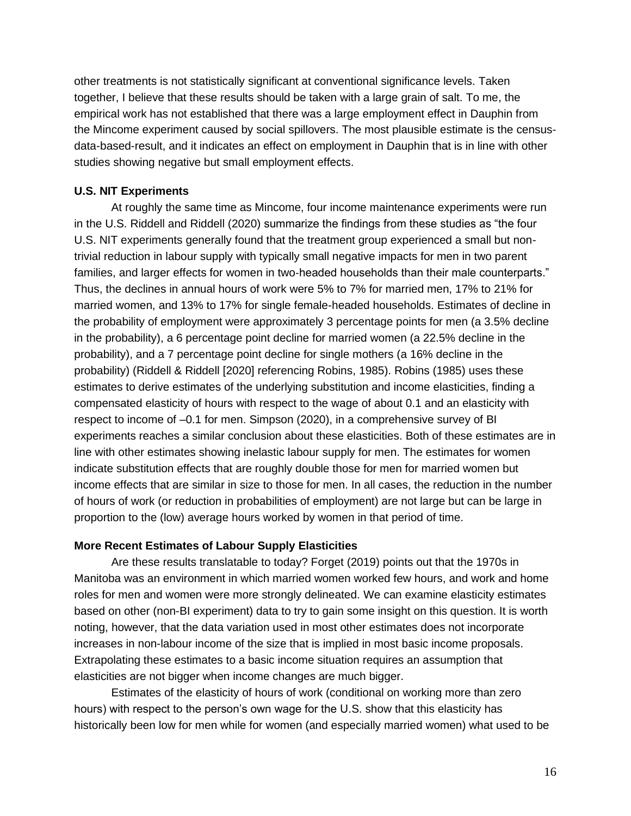other treatments is not statistically significant at conventional significance levels. Taken together, I believe that these results should be taken with a large grain of salt. To me, the empirical work has not established that there was a large employment effect in Dauphin from the Mincome experiment caused by social spillovers. The most plausible estimate is the censusdata-based-result, and it indicates an effect on employment in Dauphin that is in line with other studies showing negative but small employment effects.

# **U.S. NIT Experiments**

At roughly the same time as Mincome, four income maintenance experiments were run in the U.S. Riddell and Riddell (2020) summarize the findings from these studies as "the four U.S. NIT experiments generally found that the treatment group experienced a small but nontrivial reduction in labour supply with typically small negative impacts for men in two parent families, and larger effects for women in two-headed households than their male counterparts." Thus, the declines in annual hours of work were 5% to 7% for married men, 17% to 21% for married women, and 13% to 17% for single female-headed households. Estimates of decline in the probability of employment were approximately 3 percentage points for men (a 3.5% decline in the probability), a 6 percentage point decline for married women (a 22.5% decline in the probability), and a 7 percentage point decline for single mothers (a 16% decline in the probability) (Riddell & Riddell [2020] referencing Robins, 1985). Robins (1985) uses these estimates to derive estimates of the underlying substitution and income elasticities, finding a compensated elasticity of hours with respect to the wage of about 0.1 and an elasticity with respect to income of –0.1 for men. Simpson (2020), in a comprehensive survey of BI experiments reaches a similar conclusion about these elasticities. Both of these estimates are in line with other estimates showing inelastic labour supply for men. The estimates for women indicate substitution effects that are roughly double those for men for married women but income effects that are similar in size to those for men. In all cases, the reduction in the number of hours of work (or reduction in probabilities of employment) are not large but can be large in proportion to the (low) average hours worked by women in that period of time.

# **More Recent Estimates of Labour Supply Elasticities**

Are these results translatable to today? Forget (2019) points out that the 1970s in Manitoba was an environment in which married women worked few hours, and work and home roles for men and women were more strongly delineated. We can examine elasticity estimates based on other (non-BI experiment) data to try to gain some insight on this question. It is worth noting, however, that the data variation used in most other estimates does not incorporate increases in non-labour income of the size that is implied in most basic income proposals. Extrapolating these estimates to a basic income situation requires an assumption that elasticities are not bigger when income changes are much bigger.

Estimates of the elasticity of hours of work (conditional on working more than zero hours) with respect to the person's own wage for the U.S. show that this elasticity has historically been low for men while for women (and especially married women) what used to be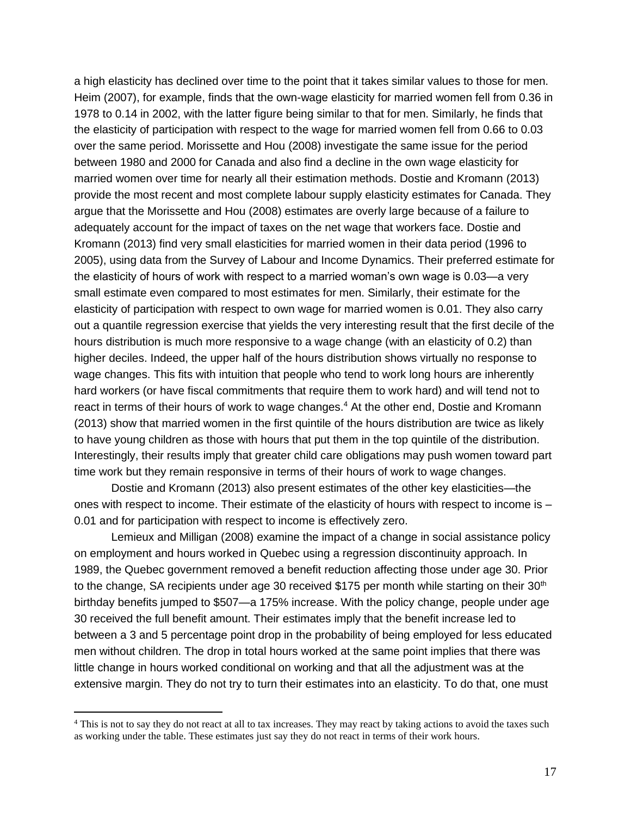a high elasticity has declined over time to the point that it takes similar values to those for men. Heim (2007), for example, finds that the own-wage elasticity for married women fell from 0.36 in 1978 to 0.14 in 2002, with the latter figure being similar to that for men. Similarly, he finds that the elasticity of participation with respect to the wage for married women fell from 0.66 to 0.03 over the same period. Morissette and Hou (2008) investigate the same issue for the period between 1980 and 2000 for Canada and also find a decline in the own wage elasticity for married women over time for nearly all their estimation methods. Dostie and Kromann (2013) provide the most recent and most complete labour supply elasticity estimates for Canada. They argue that the Morissette and Hou (2008) estimates are overly large because of a failure to adequately account for the impact of taxes on the net wage that workers face. Dostie and Kromann (2013) find very small elasticities for married women in their data period (1996 to 2005), using data from the Survey of Labour and Income Dynamics. Their preferred estimate for the elasticity of hours of work with respect to a married woman's own wage is 0.03—a very small estimate even compared to most estimates for men. Similarly, their estimate for the elasticity of participation with respect to own wage for married women is 0.01. They also carry out a quantile regression exercise that yields the very interesting result that the first decile of the hours distribution is much more responsive to a wage change (with an elasticity of 0.2) than higher deciles. Indeed, the upper half of the hours distribution shows virtually no response to wage changes. This fits with intuition that people who tend to work long hours are inherently hard workers (or have fiscal commitments that require them to work hard) and will tend not to react in terms of their hours of work to wage changes.<sup>4</sup> At the other end, Dostie and Kromann (2013) show that married women in the first quintile of the hours distribution are twice as likely to have young children as those with hours that put them in the top quintile of the distribution. Interestingly, their results imply that greater child care obligations may push women toward part time work but they remain responsive in terms of their hours of work to wage changes.

Dostie and Kromann (2013) also present estimates of the other key elasticities—the ones with respect to income. Their estimate of the elasticity of hours with respect to income is – 0.01 and for participation with respect to income is effectively zero.

Lemieux and Milligan (2008) examine the impact of a change in social assistance policy on employment and hours worked in Quebec using a regression discontinuity approach. In 1989, the Quebec government removed a benefit reduction affecting those under age 30. Prior to the change, SA recipients under age 30 received \$175 per month while starting on their  $30<sup>th</sup>$ birthday benefits jumped to \$507—a 175% increase. With the policy change, people under age 30 received the full benefit amount. Their estimates imply that the benefit increase led to between a 3 and 5 percentage point drop in the probability of being employed for less educated men without children. The drop in total hours worked at the same point implies that there was little change in hours worked conditional on working and that all the adjustment was at the extensive margin. They do not try to turn their estimates into an elasticity. To do that, one must

<sup>&</sup>lt;sup>4</sup> This is not to say they do not react at all to tax increases. They may react by taking actions to avoid the taxes such as working under the table. These estimates just say they do not react in terms of their work hours.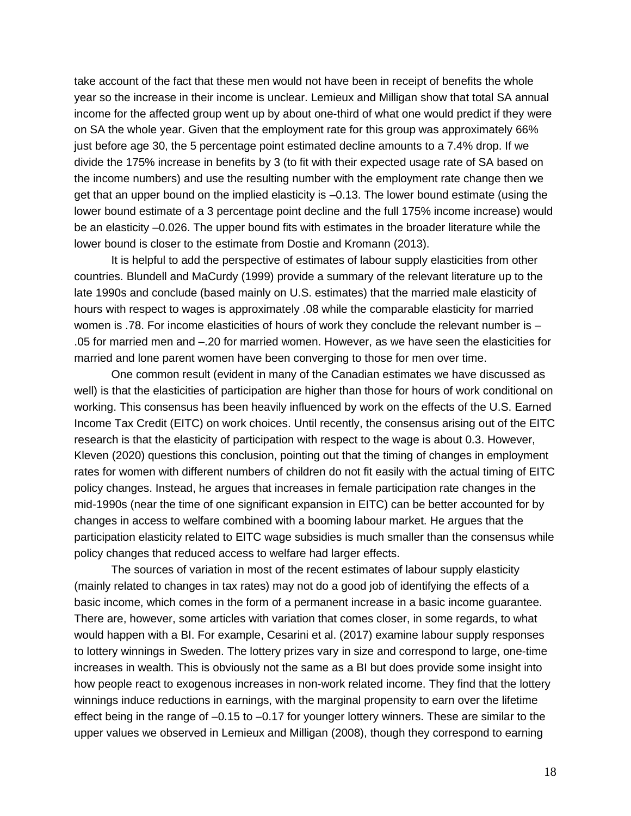take account of the fact that these men would not have been in receipt of benefits the whole year so the increase in their income is unclear. Lemieux and Milligan show that total SA annual income for the affected group went up by about one-third of what one would predict if they were on SA the whole year. Given that the employment rate for this group was approximately 66% just before age 30, the 5 percentage point estimated decline amounts to a 7.4% drop. If we divide the 175% increase in benefits by 3 (to fit with their expected usage rate of SA based on the income numbers) and use the resulting number with the employment rate change then we get that an upper bound on the implied elasticity is –0.13. The lower bound estimate (using the lower bound estimate of a 3 percentage point decline and the full 175% income increase) would be an elasticity –0.026. The upper bound fits with estimates in the broader literature while the lower bound is closer to the estimate from Dostie and Kromann (2013).

It is helpful to add the perspective of estimates of labour supply elasticities from other countries. Blundell and MaCurdy (1999) provide a summary of the relevant literature up to the late 1990s and conclude (based mainly on U.S. estimates) that the married male elasticity of hours with respect to wages is approximately .08 while the comparable elasticity for married women is .78. For income elasticities of hours of work they conclude the relevant number is -.05 for married men and –.20 for married women. However, as we have seen the elasticities for married and lone parent women have been converging to those for men over time.

One common result (evident in many of the Canadian estimates we have discussed as well) is that the elasticities of participation are higher than those for hours of work conditional on working. This consensus has been heavily influenced by work on the effects of the U.S. Earned Income Tax Credit (EITC) on work choices. Until recently, the consensus arising out of the EITC research is that the elasticity of participation with respect to the wage is about 0.3. However, Kleven (2020) questions this conclusion, pointing out that the timing of changes in employment rates for women with different numbers of children do not fit easily with the actual timing of EITC policy changes. Instead, he argues that increases in female participation rate changes in the mid-1990s (near the time of one significant expansion in EITC) can be better accounted for by changes in access to welfare combined with a booming labour market. He argues that the participation elasticity related to EITC wage subsidies is much smaller than the consensus while policy changes that reduced access to welfare had larger effects.

The sources of variation in most of the recent estimates of labour supply elasticity (mainly related to changes in tax rates) may not do a good job of identifying the effects of a basic income, which comes in the form of a permanent increase in a basic income guarantee. There are, however, some articles with variation that comes closer, in some regards, to what would happen with a BI. For example, Cesarini et al. (2017) examine labour supply responses to lottery winnings in Sweden. The lottery prizes vary in size and correspond to large, one-time increases in wealth. This is obviously not the same as a BI but does provide some insight into how people react to exogenous increases in non-work related income. They find that the lottery winnings induce reductions in earnings, with the marginal propensity to earn over the lifetime effect being in the range of –0.15 to –0.17 for younger lottery winners. These are similar to the upper values we observed in Lemieux and Milligan (2008), though they correspond to earning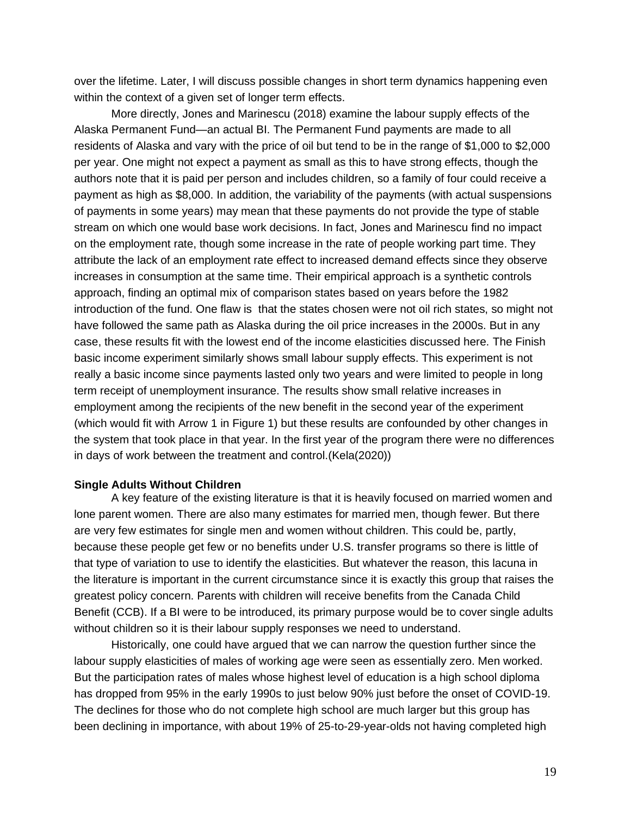over the lifetime. Later, I will discuss possible changes in short term dynamics happening even within the context of a given set of longer term effects.

More directly, Jones and Marinescu (2018) examine the labour supply effects of the Alaska Permanent Fund—an actual BI. The Permanent Fund payments are made to all residents of Alaska and vary with the price of oil but tend to be in the range of \$1,000 to \$2,000 per year. One might not expect a payment as small as this to have strong effects, though the authors note that it is paid per person and includes children, so a family of four could receive a payment as high as \$8,000. In addition, the variability of the payments (with actual suspensions of payments in some years) may mean that these payments do not provide the type of stable stream on which one would base work decisions. In fact, Jones and Marinescu find no impact on the employment rate, though some increase in the rate of people working part time. They attribute the lack of an employment rate effect to increased demand effects since they observe increases in consumption at the same time. Their empirical approach is a synthetic controls approach, finding an optimal mix of comparison states based on years before the 1982 introduction of the fund. One flaw is that the states chosen were not oil rich states, so might not have followed the same path as Alaska during the oil price increases in the 2000s. But in any case, these results fit with the lowest end of the income elasticities discussed here. The Finish basic income experiment similarly shows small labour supply effects. This experiment is not really a basic income since payments lasted only two years and were limited to people in long term receipt of unemployment insurance. The results show small relative increases in employment among the recipients of the new benefit in the second year of the experiment (which would fit with Arrow 1 in Figure 1) but these results are confounded by other changes in the system that took place in that year. In the first year of the program there were no differences in days of work between the treatment and control.(Kela(2020))

#### **Single Adults Without Children**

A key feature of the existing literature is that it is heavily focused on married women and lone parent women. There are also many estimates for married men, though fewer. But there are very few estimates for single men and women without children. This could be, partly, because these people get few or no benefits under U.S. transfer programs so there is little of that type of variation to use to identify the elasticities. But whatever the reason, this lacuna in the literature is important in the current circumstance since it is exactly this group that raises the greatest policy concern. Parents with children will receive benefits from the Canada Child Benefit (CCB). If a BI were to be introduced, its primary purpose would be to cover single adults without children so it is their labour supply responses we need to understand.

Historically, one could have argued that we can narrow the question further since the labour supply elasticities of males of working age were seen as essentially zero. Men worked. But the participation rates of males whose highest level of education is a high school diploma has dropped from 95% in the early 1990s to just below 90% just before the onset of COVID-19. The declines for those who do not complete high school are much larger but this group has been declining in importance, with about 19% of 25-to-29-year-olds not having completed high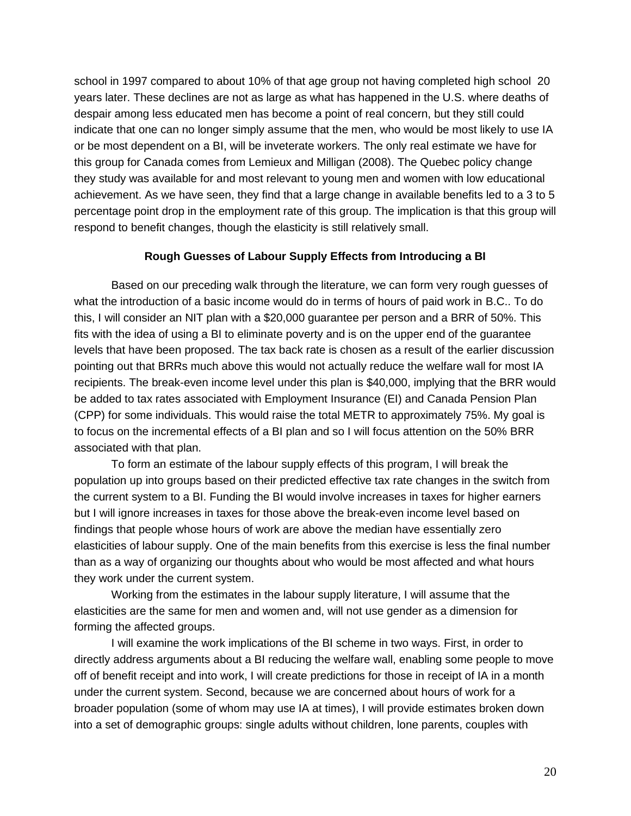school in 1997 compared to about 10% of that age group not having completed high school 20 years later. These declines are not as large as what has happened in the U.S. where deaths of despair among less educated men has become a point of real concern, but they still could indicate that one can no longer simply assume that the men, who would be most likely to use IA or be most dependent on a BI, will be inveterate workers. The only real estimate we have for this group for Canada comes from Lemieux and Milligan (2008). The Quebec policy change they study was available for and most relevant to young men and women with low educational achievement. As we have seen, they find that a large change in available benefits led to a 3 to 5 percentage point drop in the employment rate of this group. The implication is that this group will respond to benefit changes, though the elasticity is still relatively small.

# **Rough Guesses of Labour Supply Effects from Introducing a BI**

Based on our preceding walk through the literature, we can form very rough guesses of what the introduction of a basic income would do in terms of hours of paid work in B.C.. To do this, I will consider an NIT plan with a \$20,000 guarantee per person and a BRR of 50%. This fits with the idea of using a BI to eliminate poverty and is on the upper end of the guarantee levels that have been proposed. The tax back rate is chosen as a result of the earlier discussion pointing out that BRRs much above this would not actually reduce the welfare wall for most IA recipients. The break-even income level under this plan is \$40,000, implying that the BRR would be added to tax rates associated with Employment Insurance (EI) and Canada Pension Plan (CPP) for some individuals. This would raise the total METR to approximately 75%. My goal is to focus on the incremental effects of a BI plan and so I will focus attention on the 50% BRR associated with that plan.

To form an estimate of the labour supply effects of this program, I will break the population up into groups based on their predicted effective tax rate changes in the switch from the current system to a BI. Funding the BI would involve increases in taxes for higher earners but I will ignore increases in taxes for those above the break-even income level based on findings that people whose hours of work are above the median have essentially zero elasticities of labour supply. One of the main benefits from this exercise is less the final number than as a way of organizing our thoughts about who would be most affected and what hours they work under the current system.

Working from the estimates in the labour supply literature, I will assume that the elasticities are the same for men and women and, will not use gender as a dimension for forming the affected groups.

I will examine the work implications of the BI scheme in two ways. First, in order to directly address arguments about a BI reducing the welfare wall, enabling some people to move off of benefit receipt and into work, I will create predictions for those in receipt of IA in a month under the current system. Second, because we are concerned about hours of work for a broader population (some of whom may use IA at times), I will provide estimates broken down into a set of demographic groups: single adults without children, lone parents, couples with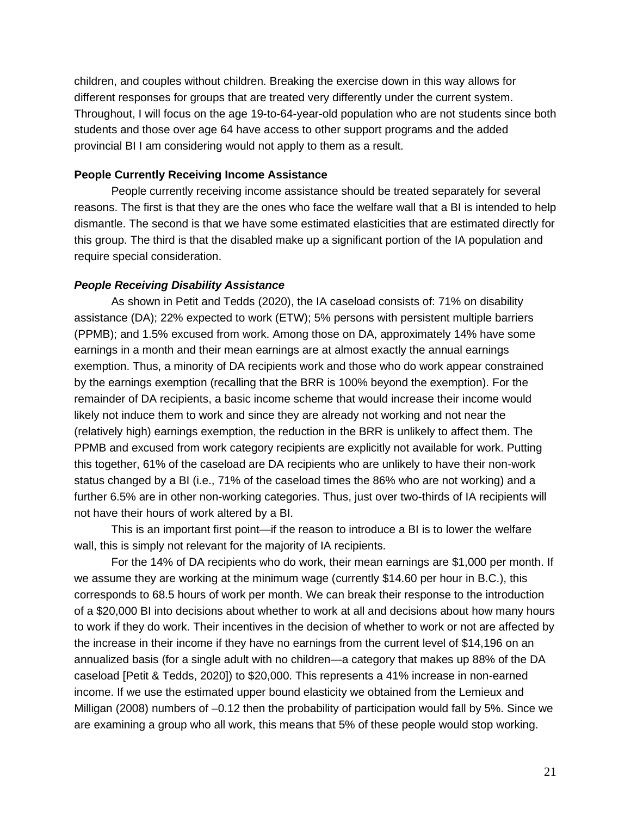children, and couples without children. Breaking the exercise down in this way allows for different responses for groups that are treated very differently under the current system. Throughout, I will focus on the age 19-to-64-year-old population who are not students since both students and those over age 64 have access to other support programs and the added provincial BI I am considering would not apply to them as a result.

## **People Currently Receiving Income Assistance**

People currently receiving income assistance should be treated separately for several reasons. The first is that they are the ones who face the welfare wall that a BI is intended to help dismantle. The second is that we have some estimated elasticities that are estimated directly for this group. The third is that the disabled make up a significant portion of the IA population and require special consideration.

# *People Receiving Disability Assistance*

As shown in Petit and Tedds (2020), the IA caseload consists of: 71% on disability assistance (DA); 22% expected to work (ETW); 5% persons with persistent multiple barriers (PPMB); and 1.5% excused from work. Among those on DA, approximately 14% have some earnings in a month and their mean earnings are at almost exactly the annual earnings exemption. Thus, a minority of DA recipients work and those who do work appear constrained by the earnings exemption (recalling that the BRR is 100% beyond the exemption). For the remainder of DA recipients, a basic income scheme that would increase their income would likely not induce them to work and since they are already not working and not near the (relatively high) earnings exemption, the reduction in the BRR is unlikely to affect them. The PPMB and excused from work category recipients are explicitly not available for work. Putting this together, 61% of the caseload are DA recipients who are unlikely to have their non-work status changed by a BI (i.e., 71% of the caseload times the 86% who are not working) and a further 6.5% are in other non-working categories. Thus, just over two-thirds of IA recipients will not have their hours of work altered by a BI.

This is an important first point—if the reason to introduce a BI is to lower the welfare wall, this is simply not relevant for the majority of IA recipients.

For the 14% of DA recipients who do work, their mean earnings are \$1,000 per month. If we assume they are working at the minimum wage (currently \$14.60 per hour in B.C.), this corresponds to 68.5 hours of work per month. We can break their response to the introduction of a \$20,000 BI into decisions about whether to work at all and decisions about how many hours to work if they do work. Their incentives in the decision of whether to work or not are affected by the increase in their income if they have no earnings from the current level of \$14,196 on an annualized basis (for a single adult with no children—a category that makes up 88% of the DA caseload [Petit & Tedds, 2020]) to \$20,000. This represents a 41% increase in non-earned income. If we use the estimated upper bound elasticity we obtained from the Lemieux and Milligan (2008) numbers of –0.12 then the probability of participation would fall by 5%. Since we are examining a group who all work, this means that 5% of these people would stop working.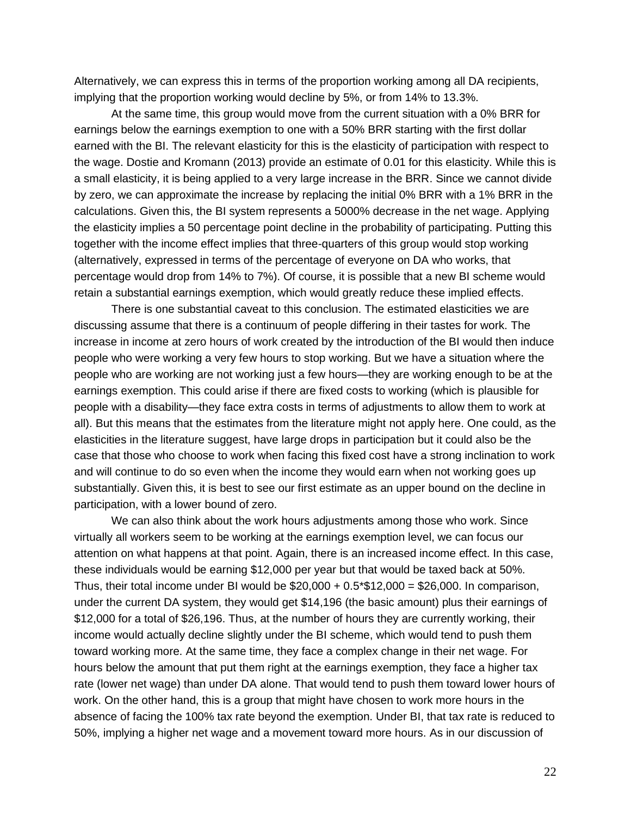Alternatively, we can express this in terms of the proportion working among all DA recipients, implying that the proportion working would decline by 5%, or from 14% to 13.3%.

At the same time, this group would move from the current situation with a 0% BRR for earnings below the earnings exemption to one with a 50% BRR starting with the first dollar earned with the BI. The relevant elasticity for this is the elasticity of participation with respect to the wage. Dostie and Kromann (2013) provide an estimate of 0.01 for this elasticity. While this is a small elasticity, it is being applied to a very large increase in the BRR. Since we cannot divide by zero, we can approximate the increase by replacing the initial 0% BRR with a 1% BRR in the calculations. Given this, the BI system represents a 5000% decrease in the net wage. Applying the elasticity implies a 50 percentage point decline in the probability of participating. Putting this together with the income effect implies that three-quarters of this group would stop working (alternatively, expressed in terms of the percentage of everyone on DA who works, that percentage would drop from 14% to 7%). Of course, it is possible that a new BI scheme would retain a substantial earnings exemption, which would greatly reduce these implied effects.

There is one substantial caveat to this conclusion. The estimated elasticities we are discussing assume that there is a continuum of people differing in their tastes for work. The increase in income at zero hours of work created by the introduction of the BI would then induce people who were working a very few hours to stop working. But we have a situation where the people who are working are not working just a few hours—they are working enough to be at the earnings exemption. This could arise if there are fixed costs to working (which is plausible for people with a disability—they face extra costs in terms of adjustments to allow them to work at all). But this means that the estimates from the literature might not apply here. One could, as the elasticities in the literature suggest, have large drops in participation but it could also be the case that those who choose to work when facing this fixed cost have a strong inclination to work and will continue to do so even when the income they would earn when not working goes up substantially. Given this, it is best to see our first estimate as an upper bound on the decline in participation, with a lower bound of zero.

We can also think about the work hours adjustments among those who work. Since virtually all workers seem to be working at the earnings exemption level, we can focus our attention on what happens at that point. Again, there is an increased income effect. In this case, these individuals would be earning \$12,000 per year but that would be taxed back at 50%. Thus, their total income under BI would be  $$20,000 + 0.5^* $12,000 = $26,000$ . In comparison, under the current DA system, they would get \$14,196 (the basic amount) plus their earnings of \$12,000 for a total of \$26,196. Thus, at the number of hours they are currently working, their income would actually decline slightly under the BI scheme, which would tend to push them toward working more. At the same time, they face a complex change in their net wage. For hours below the amount that put them right at the earnings exemption, they face a higher tax rate (lower net wage) than under DA alone. That would tend to push them toward lower hours of work. On the other hand, this is a group that might have chosen to work more hours in the absence of facing the 100% tax rate beyond the exemption. Under BI, that tax rate is reduced to 50%, implying a higher net wage and a movement toward more hours. As in our discussion of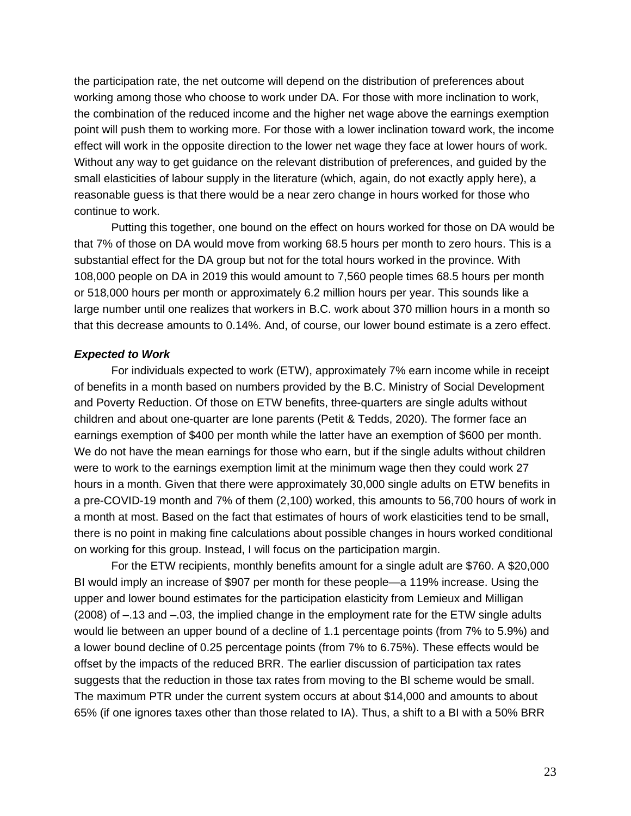the participation rate, the net outcome will depend on the distribution of preferences about working among those who choose to work under DA. For those with more inclination to work, the combination of the reduced income and the higher net wage above the earnings exemption point will push them to working more. For those with a lower inclination toward work, the income effect will work in the opposite direction to the lower net wage they face at lower hours of work. Without any way to get guidance on the relevant distribution of preferences, and guided by the small elasticities of labour supply in the literature (which, again, do not exactly apply here), a reasonable guess is that there would be a near zero change in hours worked for those who continue to work.

Putting this together, one bound on the effect on hours worked for those on DA would be that 7% of those on DA would move from working 68.5 hours per month to zero hours. This is a substantial effect for the DA group but not for the total hours worked in the province. With 108,000 people on DA in 2019 this would amount to 7,560 people times 68.5 hours per month or 518,000 hours per month or approximately 6.2 million hours per year. This sounds like a large number until one realizes that workers in B.C. work about 370 million hours in a month so that this decrease amounts to 0.14%. And, of course, our lower bound estimate is a zero effect.

## *Expected to Work*

For individuals expected to work (ETW), approximately 7% earn income while in receipt of benefits in a month based on numbers provided by the B.C. Ministry of Social Development and Poverty Reduction. Of those on ETW benefits, three-quarters are single adults without children and about one-quarter are lone parents (Petit & Tedds, 2020). The former face an earnings exemption of \$400 per month while the latter have an exemption of \$600 per month. We do not have the mean earnings for those who earn, but if the single adults without children were to work to the earnings exemption limit at the minimum wage then they could work 27 hours in a month. Given that there were approximately 30,000 single adults on ETW benefits in a pre-COVID-19 month and 7% of them (2,100) worked, this amounts to 56,700 hours of work in a month at most. Based on the fact that estimates of hours of work elasticities tend to be small, there is no point in making fine calculations about possible changes in hours worked conditional on working for this group. Instead, I will focus on the participation margin.

For the ETW recipients, monthly benefits amount for a single adult are \$760. A \$20,000 BI would imply an increase of \$907 per month for these people—a 119% increase. Using the upper and lower bound estimates for the participation elasticity from Lemieux and Milligan (2008) of –.13 and –.03, the implied change in the employment rate for the ETW single adults would lie between an upper bound of a decline of 1.1 percentage points (from 7% to 5.9%) and a lower bound decline of 0.25 percentage points (from 7% to 6.75%). These effects would be offset by the impacts of the reduced BRR. The earlier discussion of participation tax rates suggests that the reduction in those tax rates from moving to the BI scheme would be small. The maximum PTR under the current system occurs at about \$14,000 and amounts to about 65% (if one ignores taxes other than those related to IA). Thus, a shift to a BI with a 50% BRR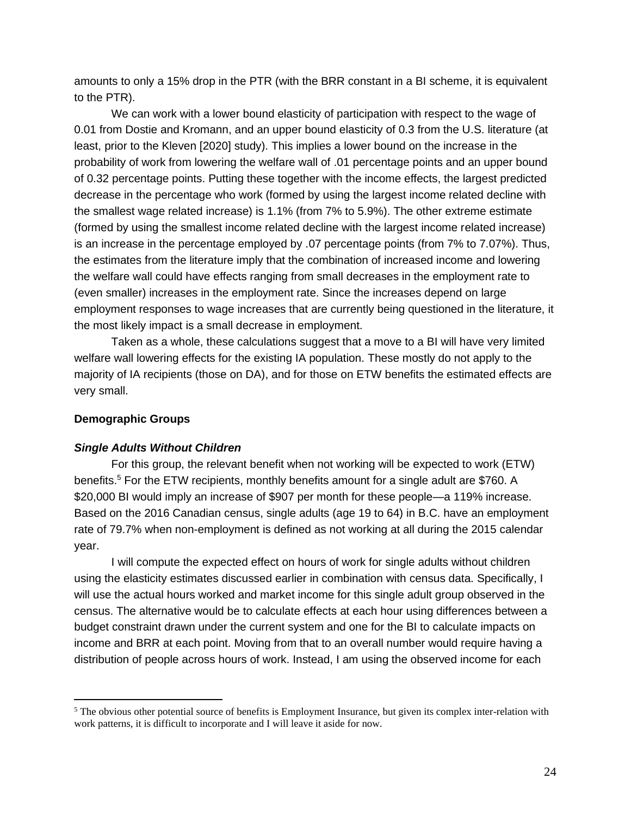amounts to only a 15% drop in the PTR (with the BRR constant in a BI scheme, it is equivalent to the PTR).

We can work with a lower bound elasticity of participation with respect to the wage of 0.01 from Dostie and Kromann, and an upper bound elasticity of 0.3 from the U.S. literature (at least, prior to the Kleven [2020] study). This implies a lower bound on the increase in the probability of work from lowering the welfare wall of .01 percentage points and an upper bound of 0.32 percentage points. Putting these together with the income effects, the largest predicted decrease in the percentage who work (formed by using the largest income related decline with the smallest wage related increase) is 1.1% (from 7% to 5.9%). The other extreme estimate (formed by using the smallest income related decline with the largest income related increase) is an increase in the percentage employed by .07 percentage points (from 7% to 7.07%). Thus, the estimates from the literature imply that the combination of increased income and lowering the welfare wall could have effects ranging from small decreases in the employment rate to (even smaller) increases in the employment rate. Since the increases depend on large employment responses to wage increases that are currently being questioned in the literature, it the most likely impact is a small decrease in employment.

Taken as a whole, these calculations suggest that a move to a BI will have very limited welfare wall lowering effects for the existing IA population. These mostly do not apply to the majority of IA recipients (those on DA), and for those on ETW benefits the estimated effects are very small.

# **Demographic Groups**

# *Single Adults Without Children*

For this group, the relevant benefit when not working will be expected to work (ETW) benefits.<sup>5</sup> For the ETW recipients, monthly benefits amount for a single adult are \$760. A \$20,000 BI would imply an increase of \$907 per month for these people—a 119% increase. Based on the 2016 Canadian census, single adults (age 19 to 64) in B.C. have an employment rate of 79.7% when non-employment is defined as not working at all during the 2015 calendar year.

I will compute the expected effect on hours of work for single adults without children using the elasticity estimates discussed earlier in combination with census data. Specifically, I will use the actual hours worked and market income for this single adult group observed in the census. The alternative would be to calculate effects at each hour using differences between a budget constraint drawn under the current system and one for the BI to calculate impacts on income and BRR at each point. Moving from that to an overall number would require having a distribution of people across hours of work. Instead, I am using the observed income for each

<sup>&</sup>lt;sup>5</sup> The obvious other potential source of benefits is Employment Insurance, but given its complex inter-relation with work patterns, it is difficult to incorporate and I will leave it aside for now.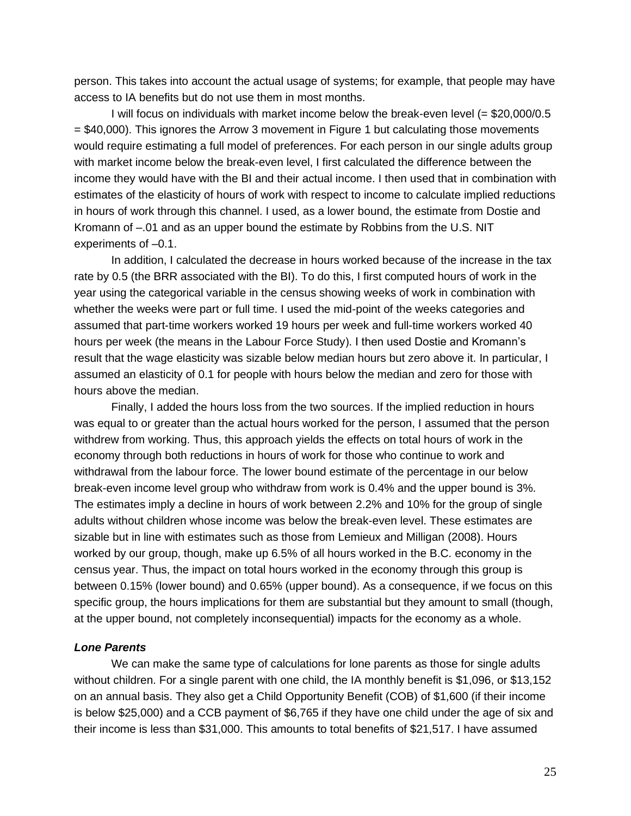person. This takes into account the actual usage of systems; for example, that people may have access to IA benefits but do not use them in most months.

I will focus on individuals with market income below the break-even level (= \$20,000/0.5 = \$40,000). This ignores the Arrow 3 movement in Figure 1 but calculating those movements would require estimating a full model of preferences. For each person in our single adults group with market income below the break-even level, I first calculated the difference between the income they would have with the BI and their actual income. I then used that in combination with estimates of the elasticity of hours of work with respect to income to calculate implied reductions in hours of work through this channel. I used, as a lower bound, the estimate from Dostie and Kromann of –.01 and as an upper bound the estimate by Robbins from the U.S. NIT experiments of –0.1.

In addition, I calculated the decrease in hours worked because of the increase in the tax rate by 0.5 (the BRR associated with the BI). To do this, I first computed hours of work in the year using the categorical variable in the census showing weeks of work in combination with whether the weeks were part or full time. I used the mid-point of the weeks categories and assumed that part-time workers worked 19 hours per week and full-time workers worked 40 hours per week (the means in the Labour Force Study). I then used Dostie and Kromann's result that the wage elasticity was sizable below median hours but zero above it. In particular, I assumed an elasticity of 0.1 for people with hours below the median and zero for those with hours above the median.

Finally, I added the hours loss from the two sources. If the implied reduction in hours was equal to or greater than the actual hours worked for the person, I assumed that the person withdrew from working. Thus, this approach yields the effects on total hours of work in the economy through both reductions in hours of work for those who continue to work and withdrawal from the labour force. The lower bound estimate of the percentage in our below break-even income level group who withdraw from work is 0.4% and the upper bound is 3%. The estimates imply a decline in hours of work between 2.2% and 10% for the group of single adults without children whose income was below the break-even level. These estimates are sizable but in line with estimates such as those from Lemieux and Milligan (2008). Hours worked by our group, though, make up 6.5% of all hours worked in the B.C. economy in the census year. Thus, the impact on total hours worked in the economy through this group is between 0.15% (lower bound) and 0.65% (upper bound). As a consequence, if we focus on this specific group, the hours implications for them are substantial but they amount to small (though, at the upper bound, not completely inconsequential) impacts for the economy as a whole.

## *Lone Parents*

We can make the same type of calculations for lone parents as those for single adults without children. For a single parent with one child, the IA monthly benefit is \$1,096, or \$13,152 on an annual basis. They also get a Child Opportunity Benefit (COB) of \$1,600 (if their income is below \$25,000) and a CCB payment of \$6,765 if they have one child under the age of six and their income is less than \$31,000. This amounts to total benefits of \$21,517. I have assumed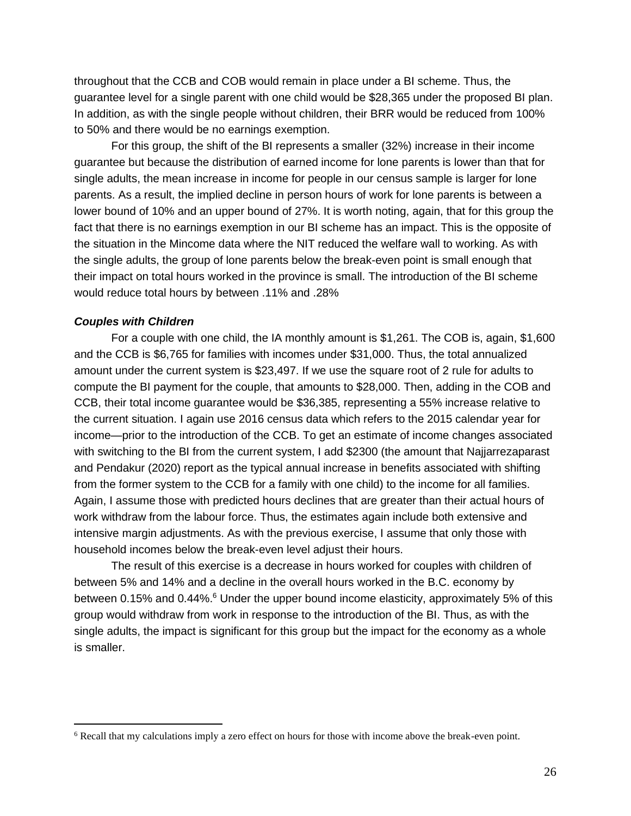throughout that the CCB and COB would remain in place under a BI scheme. Thus, the guarantee level for a single parent with one child would be \$28,365 under the proposed BI plan. In addition, as with the single people without children, their BRR would be reduced from 100% to 50% and there would be no earnings exemption.

For this group, the shift of the BI represents a smaller (32%) increase in their income guarantee but because the distribution of earned income for lone parents is lower than that for single adults, the mean increase in income for people in our census sample is larger for lone parents. As a result, the implied decline in person hours of work for lone parents is between a lower bound of 10% and an upper bound of 27%. It is worth noting, again, that for this group the fact that there is no earnings exemption in our BI scheme has an impact. This is the opposite of the situation in the Mincome data where the NIT reduced the welfare wall to working. As with the single adults, the group of lone parents below the break-even point is small enough that their impact on total hours worked in the province is small. The introduction of the BI scheme would reduce total hours by between .11% and .28%

## *Couples with Children*

For a couple with one child, the IA monthly amount is \$1,261. The COB is, again, \$1,600 and the CCB is \$6,765 for families with incomes under \$31,000. Thus, the total annualized amount under the current system is \$23,497. If we use the square root of 2 rule for adults to compute the BI payment for the couple, that amounts to \$28,000. Then, adding in the COB and CCB, their total income guarantee would be \$36,385, representing a 55% increase relative to the current situation. I again use 2016 census data which refers to the 2015 calendar year for income—prior to the introduction of the CCB. To get an estimate of income changes associated with switching to the BI from the current system, I add \$2300 (the amount that Najjarrezaparast and Pendakur (2020) report as the typical annual increase in benefits associated with shifting from the former system to the CCB for a family with one child) to the income for all families. Again, I assume those with predicted hours declines that are greater than their actual hours of work withdraw from the labour force. Thus, the estimates again include both extensive and intensive margin adjustments. As with the previous exercise, I assume that only those with household incomes below the break-even level adjust their hours.

The result of this exercise is a decrease in hours worked for couples with children of between 5% and 14% and a decline in the overall hours worked in the B.C. economy by between 0.15% and 0.44%.<sup>6</sup> Under the upper bound income elasticity, approximately 5% of this group would withdraw from work in response to the introduction of the BI. Thus, as with the single adults, the impact is significant for this group but the impact for the economy as a whole is smaller.

<sup>6</sup> Recall that my calculations imply a zero effect on hours for those with income above the break-even point.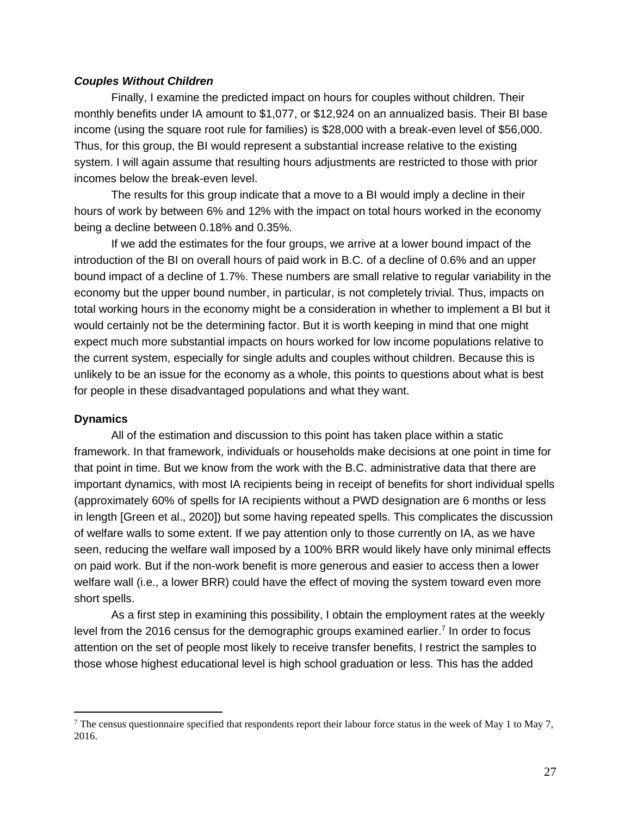## *Couples Without Children*

Finally, I examine the predicted impact on hours for couples without children. Their monthly benefits under IA amount to \$1,077, or \$12,924 on an annualized basis. Their BI base income (using the square root rule for families) is \$28,000 with a break-even level of \$56,000. Thus, for this group, the BI would represent a substantial increase relative to the existing system. I will again assume that resulting hours adjustments are restricted to those with prior incomes below the break-even level.

The results for this group indicate that a move to a BI would imply a decline in their hours of work by between 6% and 12% with the impact on total hours worked in the economy being a decline between 0.18% and 0.35%.

If we add the estimates for the four groups, we arrive at a lower bound impact of the introduction of the BI on overall hours of paid work in B.C. of a decline of 0.6% and an upper bound impact of a decline of 1.7%. These numbers are small relative to regular variability in the economy but the upper bound number, in particular, is not completely trivial. Thus, impacts on total working hours in the economy might be a consideration in whether to implement a BI but it would certainly not be the determining factor. But it is worth keeping in mind that one might expect much more substantial impacts on hours worked for low income populations relative to the current system, especially for single adults and couples without children. Because this is unlikely to be an issue for the economy as a whole, this points to questions about what is best for people in these disadvantaged populations and what they want.

## **Dynamics**

All of the estimation and discussion to this point has taken place within a static framework. In that framework, individuals or households make decisions at one point in time for that point in time. But we know from the work with the B.C. administrative data that there are important dynamics, with most IA recipients being in receipt of benefits for short individual spells (approximately 60% of spells for IA recipients without a PWD designation are 6 months or less in length [Green et al., 2020]) but some having repeated spells. This complicates the discussion of welfare walls to some extent. If we pay attention only to those currently on IA, as we have seen, reducing the welfare wall imposed by a 100% BRR would likely have only minimal effects on paid work. But if the non-work benefit is more generous and easier to access then a lower welfare wall (i.e., a lower BRR) could have the effect of moving the system toward even more short spells.

As a first step in examining this possibility, I obtain the employment rates at the weekly level from the 2016 census for the demographic groups examined earlier.<sup>7</sup> In order to focus attention on the set of people most likely to receive transfer benefits, I restrict the samples to those whose highest educational level is high school graduation or less. This has the added

 $^7$  The census questionnaire specified that respondents report their labour force status in the week of May 1 to May 7, 2016.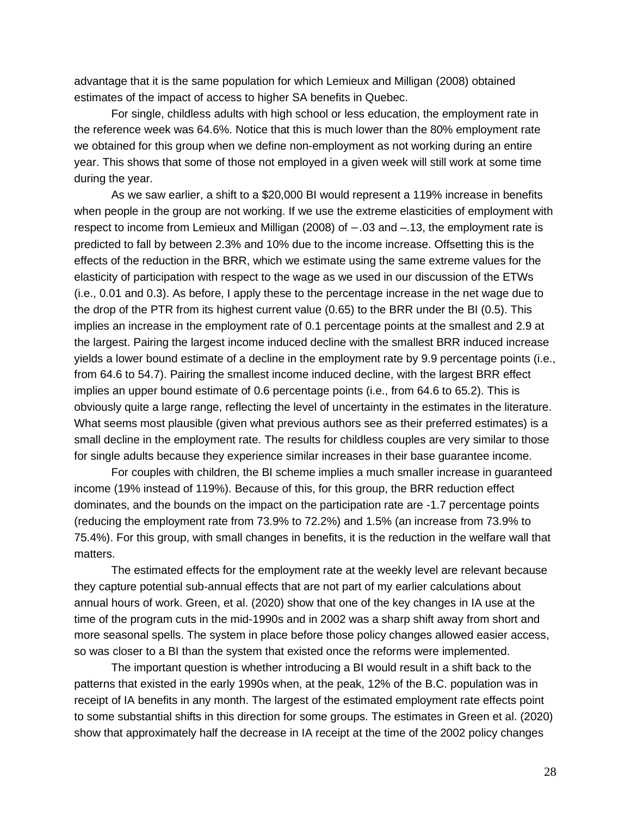advantage that it is the same population for which Lemieux and Milligan (2008) obtained estimates of the impact of access to higher SA benefits in Quebec.

For single, childless adults with high school or less education, the employment rate in the reference week was 64.6%. Notice that this is much lower than the 80% employment rate we obtained for this group when we define non-employment as not working during an entire year. This shows that some of those not employed in a given week will still work at some time during the year.

As we saw earlier, a shift to a \$20,000 BI would represent a 119% increase in benefits when people in the group are not working. If we use the extreme elasticities of employment with respect to income from Lemieux and Milligan (2008) of −.03 and –.13, the employment rate is predicted to fall by between 2.3% and 10% due to the income increase. Offsetting this is the effects of the reduction in the BRR, which we estimate using the same extreme values for the elasticity of participation with respect to the wage as we used in our discussion of the ETWs (i.e., 0.01 and 0.3). As before, I apply these to the percentage increase in the net wage due to the drop of the PTR from its highest current value (0.65) to the BRR under the BI (0.5). This implies an increase in the employment rate of 0.1 percentage points at the smallest and 2.9 at the largest. Pairing the largest income induced decline with the smallest BRR induced increase yields a lower bound estimate of a decline in the employment rate by 9.9 percentage points (i.e., from 64.6 to 54.7). Pairing the smallest income induced decline, with the largest BRR effect implies an upper bound estimate of 0.6 percentage points (i.e., from 64.6 to 65.2). This is obviously quite a large range, reflecting the level of uncertainty in the estimates in the literature. What seems most plausible (given what previous authors see as their preferred estimates) is a small decline in the employment rate. The results for childless couples are very similar to those for single adults because they experience similar increases in their base guarantee income.

For couples with children, the BI scheme implies a much smaller increase in guaranteed income (19% instead of 119%). Because of this, for this group, the BRR reduction effect dominates, and the bounds on the impact on the participation rate are -1.7 percentage points (reducing the employment rate from 73.9% to 72.2%) and 1.5% (an increase from 73.9% to 75.4%). For this group, with small changes in benefits, it is the reduction in the welfare wall that matters.

The estimated effects for the employment rate at the weekly level are relevant because they capture potential sub-annual effects that are not part of my earlier calculations about annual hours of work. Green, et al. (2020) show that one of the key changes in IA use at the time of the program cuts in the mid-1990s and in 2002 was a sharp shift away from short and more seasonal spells. The system in place before those policy changes allowed easier access, so was closer to a BI than the system that existed once the reforms were implemented.

The important question is whether introducing a BI would result in a shift back to the patterns that existed in the early 1990s when, at the peak, 12% of the B.C. population was in receipt of IA benefits in any month. The largest of the estimated employment rate effects point to some substantial shifts in this direction for some groups. The estimates in Green et al. (2020) show that approximately half the decrease in IA receipt at the time of the 2002 policy changes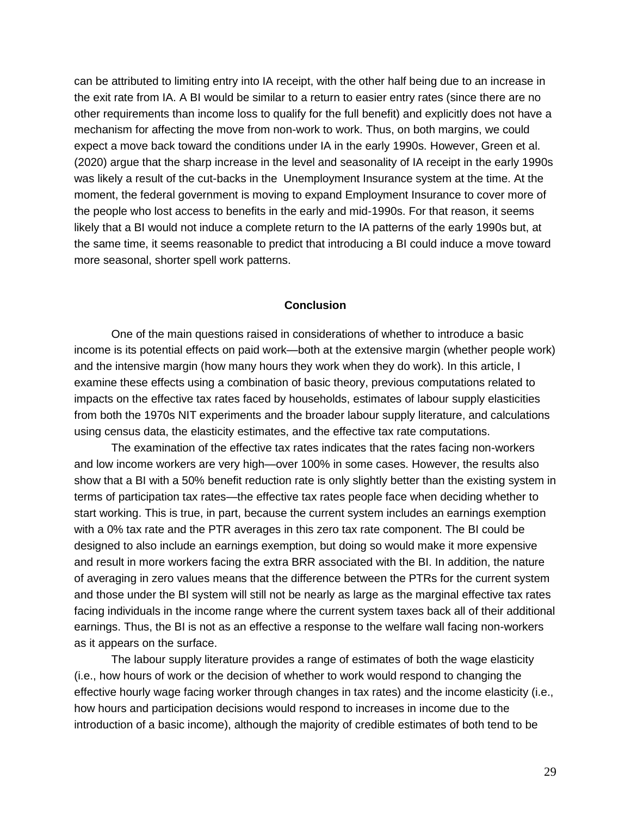can be attributed to limiting entry into IA receipt, with the other half being due to an increase in the exit rate from IA. A BI would be similar to a return to easier entry rates (since there are no other requirements than income loss to qualify for the full benefit) and explicitly does not have a mechanism for affecting the move from non-work to work. Thus, on both margins, we could expect a move back toward the conditions under IA in the early 1990s. However, Green et al. (2020) argue that the sharp increase in the level and seasonality of IA receipt in the early 1990s was likely a result of the cut-backs in the Unemployment Insurance system at the time. At the moment, the federal government is moving to expand Employment Insurance to cover more of the people who lost access to benefits in the early and mid-1990s. For that reason, it seems likely that a BI would not induce a complete return to the IA patterns of the early 1990s but, at the same time, it seems reasonable to predict that introducing a BI could induce a move toward more seasonal, shorter spell work patterns.

## **Conclusion**

One of the main questions raised in considerations of whether to introduce a basic income is its potential effects on paid work—both at the extensive margin (whether people work) and the intensive margin (how many hours they work when they do work). In this article, I examine these effects using a combination of basic theory, previous computations related to impacts on the effective tax rates faced by households, estimates of labour supply elasticities from both the 1970s NIT experiments and the broader labour supply literature, and calculations using census data, the elasticity estimates, and the effective tax rate computations.

The examination of the effective tax rates indicates that the rates facing non-workers and low income workers are very high—over 100% in some cases. However, the results also show that a BI with a 50% benefit reduction rate is only slightly better than the existing system in terms of participation tax rates—the effective tax rates people face when deciding whether to start working. This is true, in part, because the current system includes an earnings exemption with a 0% tax rate and the PTR averages in this zero tax rate component. The BI could be designed to also include an earnings exemption, but doing so would make it more expensive and result in more workers facing the extra BRR associated with the BI. In addition, the nature of averaging in zero values means that the difference between the PTRs for the current system and those under the BI system will still not be nearly as large as the marginal effective tax rates facing individuals in the income range where the current system taxes back all of their additional earnings. Thus, the BI is not as an effective a response to the welfare wall facing non-workers as it appears on the surface.

The labour supply literature provides a range of estimates of both the wage elasticity (i.e., how hours of work or the decision of whether to work would respond to changing the effective hourly wage facing worker through changes in tax rates) and the income elasticity (i.e., how hours and participation decisions would respond to increases in income due to the introduction of a basic income), although the majority of credible estimates of both tend to be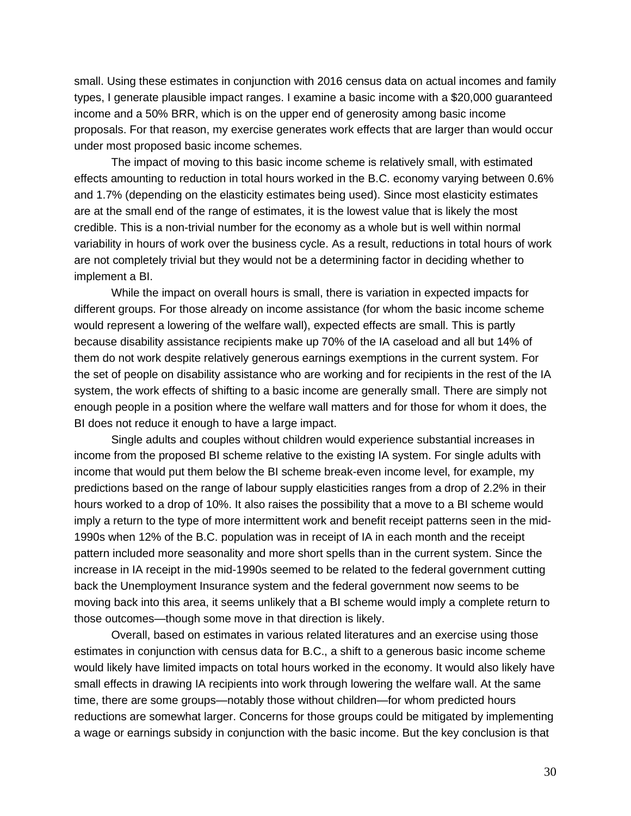small. Using these estimates in conjunction with 2016 census data on actual incomes and family types, I generate plausible impact ranges. I examine a basic income with a \$20,000 guaranteed income and a 50% BRR, which is on the upper end of generosity among basic income proposals. For that reason, my exercise generates work effects that are larger than would occur under most proposed basic income schemes.

The impact of moving to this basic income scheme is relatively small, with estimated effects amounting to reduction in total hours worked in the B.C. economy varying between 0.6% and 1.7% (depending on the elasticity estimates being used). Since most elasticity estimates are at the small end of the range of estimates, it is the lowest value that is likely the most credible. This is a non-trivial number for the economy as a whole but is well within normal variability in hours of work over the business cycle. As a result, reductions in total hours of work are not completely trivial but they would not be a determining factor in deciding whether to implement a BI.

While the impact on overall hours is small, there is variation in expected impacts for different groups. For those already on income assistance (for whom the basic income scheme would represent a lowering of the welfare wall), expected effects are small. This is partly because disability assistance recipients make up 70% of the IA caseload and all but 14% of them do not work despite relatively generous earnings exemptions in the current system. For the set of people on disability assistance who are working and for recipients in the rest of the IA system, the work effects of shifting to a basic income are generally small. There are simply not enough people in a position where the welfare wall matters and for those for whom it does, the BI does not reduce it enough to have a large impact.

Single adults and couples without children would experience substantial increases in income from the proposed BI scheme relative to the existing IA system. For single adults with income that would put them below the BI scheme break-even income level, for example, my predictions based on the range of labour supply elasticities ranges from a drop of 2.2% in their hours worked to a drop of 10%. It also raises the possibility that a move to a BI scheme would imply a return to the type of more intermittent work and benefit receipt patterns seen in the mid-1990s when 12% of the B.C. population was in receipt of IA in each month and the receipt pattern included more seasonality and more short spells than in the current system. Since the increase in IA receipt in the mid-1990s seemed to be related to the federal government cutting back the Unemployment Insurance system and the federal government now seems to be moving back into this area, it seems unlikely that a BI scheme would imply a complete return to those outcomes—though some move in that direction is likely.

Overall, based on estimates in various related literatures and an exercise using those estimates in conjunction with census data for B.C., a shift to a generous basic income scheme would likely have limited impacts on total hours worked in the economy. It would also likely have small effects in drawing IA recipients into work through lowering the welfare wall. At the same time, there are some groups—notably those without children—for whom predicted hours reductions are somewhat larger. Concerns for those groups could be mitigated by implementing a wage or earnings subsidy in conjunction with the basic income. But the key conclusion is that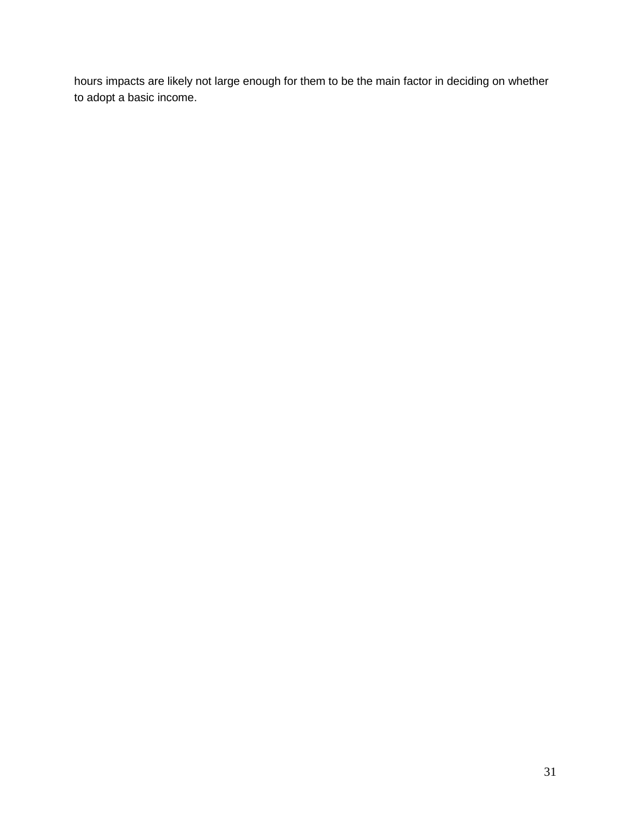hours impacts are likely not large enough for them to be the main factor in deciding on whether to adopt a basic income.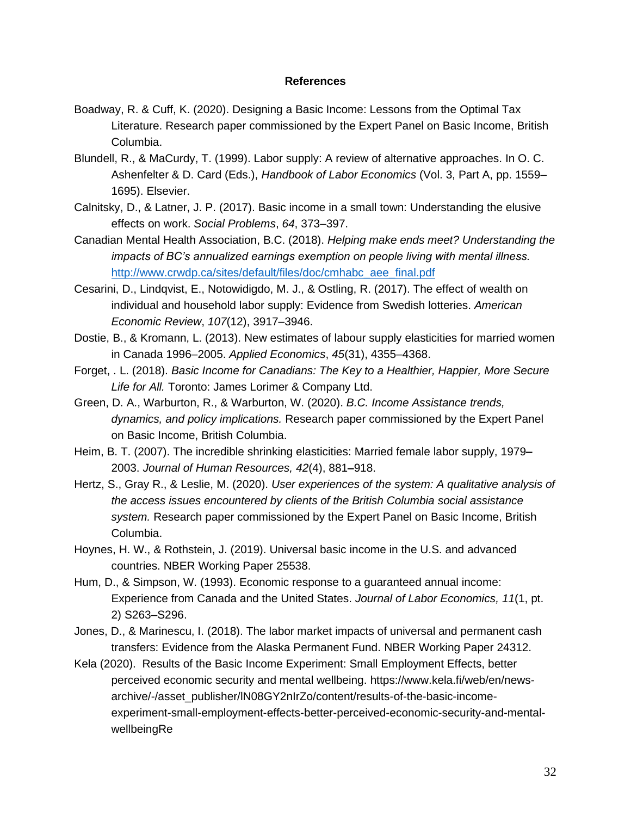## **References**

- Boadway, R. & Cuff, K. (2020). Designing a Basic Income: Lessons from the Optimal Tax Literature. Research paper commissioned by the Expert Panel on Basic Income, British Columbia.
- Blundell, R., & MaCurdy, T. (1999). Labor supply: A review of alternative approaches. In O. C. Ashenfelter & D. Card (Eds.), *Handbook of Labor Economics* (Vol. 3, Part A, pp. 1559– 1695). Elsevier.
- Calnitsky, D., & Latner, J. P. (2017). Basic income in a small town: Understanding the elusive effects on work. *Social Problems*, *64*, 373–397.
- Canadian Mental Health Association, B.C. (2018). *Helping make ends meet? Understanding the impacts of BC's annualized earnings exemption on people living with mental illness.* [http://www.crwdp.ca/sites/default/files/doc/cmhabc\\_aee\\_final.pdf](http://www.crwdp.ca/sites/default/files/doc/cmhabc_aee_final.pdf)
- Cesarini, D., Lindqvist, E., Notowidigdo, M. J., & Ostling, R. (2017). The effect of wealth on individual and household labor supply: Evidence from Swedish lotteries. *American Economic Review*, *107*(12), 3917–3946.
- Dostie, B., & Kromann, L. (2013). New estimates of labour supply elasticities for married women in Canada 1996–2005. *Applied Economics*, *45*(31), 4355–4368.
- Forget, . L. (2018). *Basic Income for Canadians: The Key to a Healthier, Happier, More Secure Life for All.* Toronto: James Lorimer & Company Ltd.
- Green, D. A., Warburton, R., & Warburton, W. (2020). *B.C. Income Assistance trends, dynamics, and policy implications.* Research paper commissioned by the Expert Panel on Basic Income, British Columbia.
- Heim, B. T. (2007). The incredible shrinking elasticities: Married female labor supply, 1979**–** 2003. *Journal of Human Resources, 42*(4), 881**–**918.
- Hertz, S., Gray R., & Leslie, M. (2020). *User experiences of the system: A qualitative analysis of the access issues encountered by clients of the British Columbia social assistance system.* Research paper commissioned by the Expert Panel on Basic Income, British Columbia.
- Hoynes, H. W., & Rothstein, J. (2019). Universal basic income in the U.S. and advanced countries. NBER Working Paper 25538.
- Hum, D., & Simpson, W. (1993). Economic response to a guaranteed annual income: Experience from Canada and the United States. *Journal of Labor Economics, 11*(1, pt. 2) S263–S296.
- Jones, D., & Marinescu, I. (2018). The labor market impacts of universal and permanent cash transfers: Evidence from the Alaska Permanent Fund. NBER Working Paper 24312.
- Kela (2020). Results of the Basic Income Experiment: Small Employment Effects, better perceived economic security and mental wellbeing. https://www.kela.fi/web/en/newsarchive/-/asset\_publisher/lN08GY2nIrZo/content/results-of-the-basic-incomeexperiment-small-employment-effects-better-perceived-economic-security-and-mentalwellbeingRe